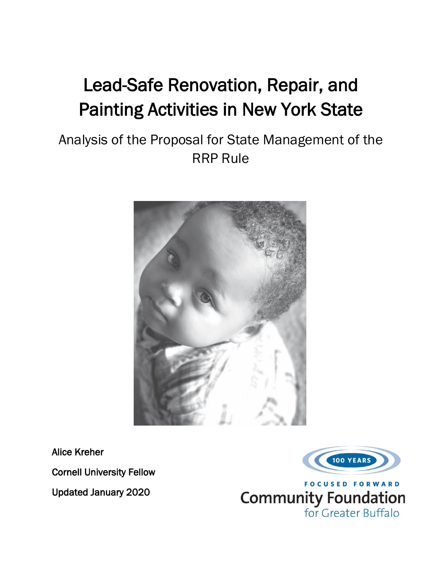# Lead-Safe Renovation, Repair, and Painting Activities in New York State

## Analysis of the Proposal for State Management of the RRP Rule



Alice Kreher

Cornell University Fellow

Updated January 2020



for Greater Buffalo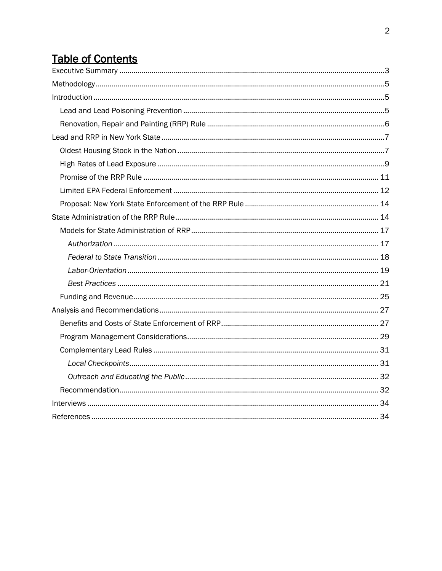## **Table of Contents**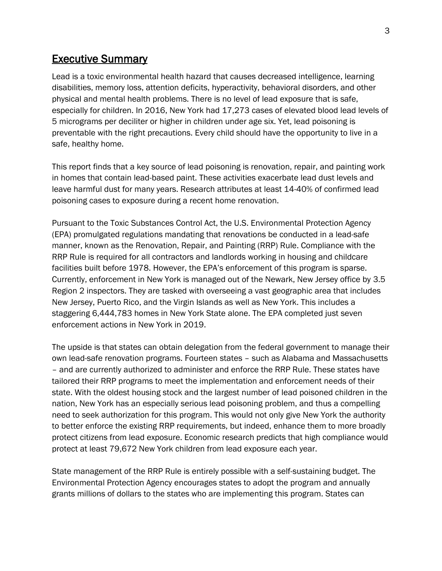## <span id="page-2-0"></span>Executive Summary

Lead is a toxic environmental health hazard that causes decreased intelligence, learning disabilities, memory loss, attention deficits, hyperactivity, behavioral disorders, and other physical and mental health problems. There is no level of lead exposure that is safe, especially for children. In 2016, New York had 17,273 cases of elevated blood lead levels of 5 micrograms per deciliter or higher in children under age six. Yet, lead poisoning is preventable with the right precautions. Every child should have the opportunity to live in a safe, healthy home.

This report finds that a key source of lead poisoning is renovation, repair, and painting work in homes that contain lead-based paint. These activities exacerbate lead dust levels and leave harmful dust for many years. Research attributes at least 14-40% of confirmed lead poisoning cases to exposure during a recent home renovation.

Pursuant to the Toxic Substances Control Act, the U.S. Environmental Protection Agency (EPA) promulgated regulations mandating that renovations be conducted in a lead-safe manner, known as the Renovation, Repair, and Painting (RRP) Rule. Compliance with the RRP Rule is required for all contractors and landlords working in housing and childcare facilities built before 1978. However, the EPA's enforcement of this program is sparse. Currently, enforcement in New York is managed out of the Newark, New Jersey office by 3.5 Region 2 inspectors. They are tasked with overseeing a vast geographic area that includes New Jersey, Puerto Rico, and the Virgin Islands as well as New York. This includes a staggering 6,444,783 homes in New York State alone. The EPA completed just seven enforcement actions in New York in 2019.

The upside is that states can obtain delegation from the federal government to manage their own lead-safe renovation programs. Fourteen states – such as Alabama and Massachusetts – and are currently authorized to administer and enforce the RRP Rule. These states have tailored their RRP programs to meet the implementation and enforcement needs of their state. With the oldest housing stock and the largest number of lead poisoned children in the nation, New York has an especially serious lead poisoning problem, and thus a compelling need to seek authorization for this program. This would not only give New York the authority to better enforce the existing RRP requirements, but indeed, enhance them to more broadly protect citizens from lead exposure. Economic research predicts that high compliance would protect at least 79,672 New York children from lead exposure each year.

State management of the RRP Rule is entirely possible with a self-sustaining budget. The Environmental Protection Agency encourages states to adopt the program and annually grants millions of dollars to the states who are implementing this program. States can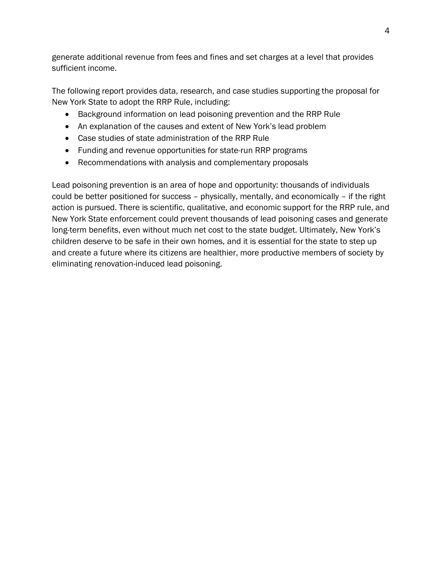generate additional revenue from fees and fines and set charges at a level that provides sufficient income.

The following report provides data, research, and case studies supporting the proposal for New York State to adopt the RRP Rule, including:

- Background information on lead poisoning prevention and the RRP Rule
- An explanation of the causes and extent of New York's lead problem
- Case studies of state administration of the RRP Rule
- Funding and revenue opportunities for state-run RRP programs
- Recommendations with analysis and complementary proposals

Lead poisoning prevention is an area of hope and opportunity: thousands of individuals could be better positioned for success – physically, mentally, and economically – if the right action is pursued. There is scientific, qualitative, and economic support for the RRP rule, and New York State enforcement could prevent thousands of lead poisoning cases and generate long-term benefits, even without much net cost to the state budget. Ultimately, New York's children deserve to be safe in their own homes, and it is essential for the state to step up and create a future where its citizens are healthier, more productive members of society by eliminating renovation-induced lead poisoning.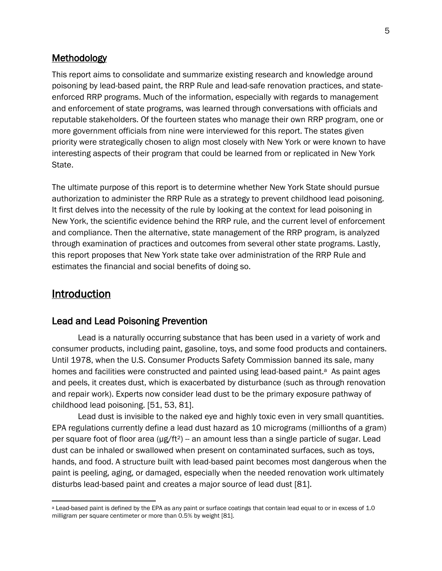#### <span id="page-4-0"></span>**Methodology**

This report aims to consolidate and summarize existing research and knowledge around poisoning by lead-based paint, the RRP Rule and lead-safe renovation practices, and stateenforced RRP programs. Much of the information, especially with regards to management and enforcement of state programs, was learned through conversations with officials and reputable stakeholders. Of the fourteen states who manage their own RRP program, one or more government officials from nine were interviewed for this report. The states given priority were strategically chosen to align most closely with New York or were known to have interesting aspects of their program that could be learned from or replicated in New York State.

The ultimate purpose of this report is to determine whether New York State should pursue authorization to administer the RRP Rule as a strategy to prevent childhood lead poisoning. It first delves into the necessity of the rule by looking at the context for lead poisoning in New York, the scientific evidence behind the RRP rule, and the current level of enforcement and compliance. Then the alternative, state management of the RRP program, is analyzed through examination of practices and outcomes from several other state programs. Lastly, this report proposes that New York state take over administration of the RRP Rule and estimates the financial and social benefits of doing so.

## <span id="page-4-1"></span>**Introduction**

#### <span id="page-4-2"></span>Lead and Lead Poisoning Prevention

Lead is a naturally occurring substance that has been used in a variety of work and consumer products, including paint, gasoline, toys, and some food products and containers. Until 1978, when the U.S. Consumer Products Safety Commission banned its sale, many homes and facilities were constructed and painted using lead-based paint.<sup>a</sup> As paint ages and peels, it creates dust, which is exacerbated by disturbance (such as through renovation and repair work). Experts now consider lead dust to be the primary exposure pathway of childhood lead poisoning. [51, 53, 81].

Lead dust is invisible to the naked eye and highly toxic even in very small quantities. EPA regulations currently define a lead dust hazard as 10 micrograms (millionths of a gram) per square foot of floor area (μg/ft<sup>2</sup>) - an amount less than a single particle of sugar. Lead dust can be inhaled or swallowed when present on contaminated surfaces, such as toys, hands, and food. A structure built with lead-based paint becomes most dangerous when the paint is peeling, aging, or damaged, especially when the needed renovation work ultimately disturbs lead-based paint and creates a major source of lead dust [81].

a Lead-based paint is defined by the EPA as any paint or surface coatings that contain lead equal to or in excess of 1.0 milligram per square centimeter or more than 0.5% by weight [81].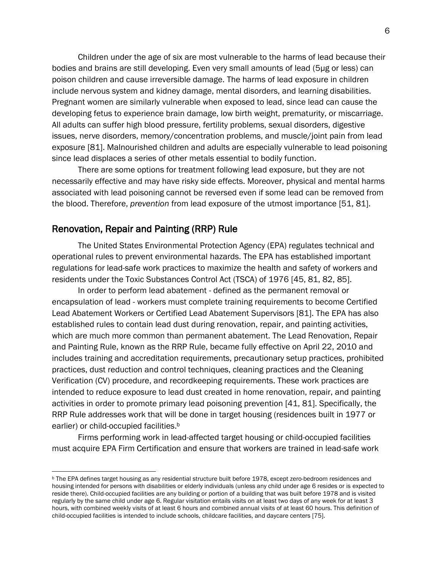Children under the age of six are most vulnerable to the harms of lead because their bodies and brains are still developing. Even very small amounts of lead (5µg or less) can poison children and cause irreversible damage. The harms of lead exposure in children include nervous system and kidney damage, mental disorders, and learning disabilities. Pregnant women are similarly vulnerable when exposed to lead, since lead can cause the developing fetus to experience brain damage, low birth weight, prematurity, or miscarriage. All adults can suffer high blood pressure, fertility problems, sexual disorders, digestive issues, nerve disorders, memory/concentration problems, and muscle/joint pain from lead exposure [81]. Malnourished children and adults are especially vulnerable to lead poisoning since lead displaces a series of other metals essential to bodily function.

 There are some options for treatment following lead exposure, but they are not necessarily effective and may have risky side effects. Moreover, physical and mental harms associated with lead poisoning cannot be reversed even if some lead can be removed from the blood. Therefore, *prevention* from lead exposure of the utmost importance [51, 81].

### <span id="page-5-0"></span>Renovation, Repair and Painting (RRP) Rule

The United States Environmental Protection Agency (EPA) regulates technical and operational rules to prevent environmental hazards. The EPA has established important regulations for lead-safe work practices to maximize the health and safety of workers and residents under the Toxic Substances Control Act (TSCA) of 1976 [45, 81, 82, 85].

In order to perform lead abatement - defined as the permanent removal or encapsulation of lead - workers must complete training requirements to become Certified Lead Abatement Workers or Certified Lead Abatement Supervisors [81]. The EPA has also established rules to contain lead dust during renovation, repair, and painting activities, which are much more common than permanent abatement. The Lead Renovation, Repair and Painting Rule, known as the RRP Rule, became fully effective on April 22, 2010 and includes training and accreditation requirements, precautionary setup practices, prohibited practices, dust reduction and control techniques, cleaning practices and the Cleaning Verification (CV) procedure, and recordkeeping requirements. These work practices are intended to reduce exposure to lead dust created in home renovation, repair, and painting activities in order to promote primary lead poisoning prevention [41, 81]. Specifically, the RRP Rule addresses work that will be done in target housing (residences built in 1977 or earlier) or child-occupied facilities.<sup>b</sup>

Firms performing work in lead-affected target housing or child-occupied facilities must acquire EPA Firm Certification and ensure that workers are trained in lead-safe work

<sup>b</sup> The EPA defines target housing as any residential structure built before 1978, except zero-bedroom residences and housing intended for persons with disabilities or elderly individuals (unless any child under age 6 resides or is expected to reside there). Child-occupied facilities are any building or portion of a building that was built before 1978 and is visited regularly by the same child under age 6. Regular visitation entails visits on at least two days of any week for at least 3 hours, with combined weekly visits of at least 6 hours and combined annual visits of at least 60 hours. This definition of child-occupied facilities is intended to include schools, childcare facilities, and daycare centers [75].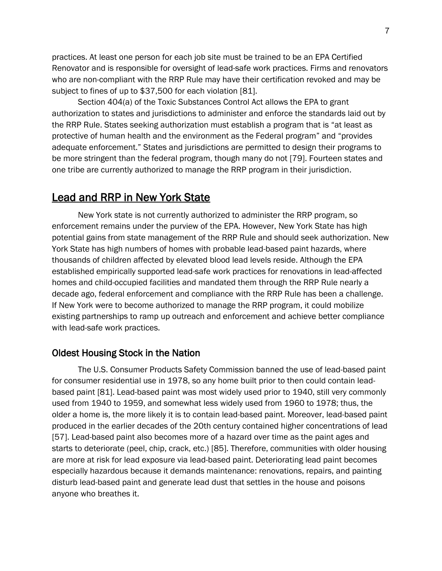practices. At least one person for each job site must be trained to be an EPA Certified Renovator and is responsible for oversight of lead-safe work practices. Firms and renovators who are non-compliant with the RRP Rule may have their certification revoked and may be subject to fines of up to \$37,500 for each violation [81].

Section 404(a) of the Toxic Substances Control Act allows the EPA to grant authorization to states and jurisdictions to administer and enforce the standards laid out by the RRP Rule. States seeking authorization must establish a program that is "at least as protective of human health and the environment as the Federal program" and "provides adequate enforcement." States and jurisdictions are permitted to design their programs to be more stringent than the federal program, though many do not [79]. Fourteen states and one tribe are currently authorized to manage the RRP program in their jurisdiction.

## <span id="page-6-0"></span>Lead and RRP in New York State

New York state is not currently authorized to administer the RRP program, so enforcement remains under the purview of the EPA. However, New York State has high potential gains from state management of the RRP Rule and should seek authorization. New York State has high numbers of homes with probable lead-based paint hazards, where thousands of children affected by elevated blood lead levels reside. Although the EPA established empirically supported lead-safe work practices for renovations in lead-affected homes and child-occupied facilities and mandated them through the RRP Rule nearly a decade ago, federal enforcement and compliance with the RRP Rule has been a challenge. If New York were to become authorized to manage the RRP program, it could mobilize existing partnerships to ramp up outreach and enforcement and achieve better compliance with lead-safe work practices.

#### <span id="page-6-1"></span>Oldest Housing Stock in the Nation

The U.S. Consumer Products Safety Commission banned the use of lead-based paint for consumer residential use in 1978, so any home built prior to then could contain leadbased paint [81]. Lead-based paint was most widely used prior to 1940, still very commonly used from 1940 to 1959, and somewhat less widely used from 1960 to 1978; thus, the older a home is, the more likely it is to contain lead-based paint. Moreover, lead-based paint produced in the earlier decades of the 20th century contained higher concentrations of lead [57]. Lead-based paint also becomes more of a hazard over time as the paint ages and starts to deteriorate (peel, chip, crack, etc.) [85]. Therefore, communities with older housing are more at risk for lead exposure via lead-based paint. Deteriorating lead paint becomes especially hazardous because it demands maintenance: renovations, repairs, and painting disturb lead-based paint and generate lead dust that settles in the house and poisons anyone who breathes it.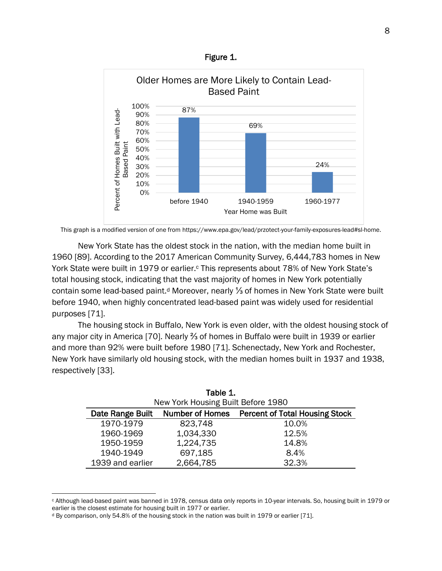Figure 1.



This graph is a modified version of one from https://www.epa.gov/lead/przotect-your-family-exposures-lead#sl-home.

New York State has the oldest stock in the nation, with the median home built in 1960 [89]. According to the 2017 American Community Survey, 6,444,783 homes in New York State were built in 1979 or earlier.<sup>c</sup> This represents about 78% of New York State's total housing stock, indicating that the vast majority of homes in New York potentially contain some lead-based paint.<sup>d</sup> Moreover, nearly 1⁄3 of homes in New York State were built before 1940, when highly concentrated lead-based paint was widely used for residential purposes [71].

The housing stock in Buffalo, New York is even older, with the oldest housing stock of any major city in America [70]. Nearly ⅔ of homes in Buffalo were built in 1939 or earlier and more than 92% were built before 1980 [71]. Schenectady, New York and Rochester, New York have similarly old housing stock, with the median homes built in 1937 and 1938, respectively [33].

| Table 1.                                                                            |           |       |  |  |
|-------------------------------------------------------------------------------------|-----------|-------|--|--|
| New York Housing Built Before 1980                                                  |           |       |  |  |
| <b>Percent of Total Housing Stock</b><br><b>Number of Homes</b><br>Date Range Built |           |       |  |  |
| 1970-1979                                                                           | 823,748   | 10.0% |  |  |
| 1960-1969                                                                           | 1,034,330 | 12.5% |  |  |
| 1950-1959                                                                           | 1,224,735 | 14.8% |  |  |
| 1940-1949                                                                           | 697,185   | 8.4%  |  |  |
| 1939 and earlier                                                                    | 2,664,785 | 32.3% |  |  |

<sup>c</sup> Although lead-based paint was banned in 1978, census data only reports in 10-year intervals. So, housing built in 1979 or earlier is the closest estimate for housing built in 1977 or earlier.

<sup>d</sup> By comparison, only 54.8% of the housing stock in the nation was built in 1979 or earlier [71].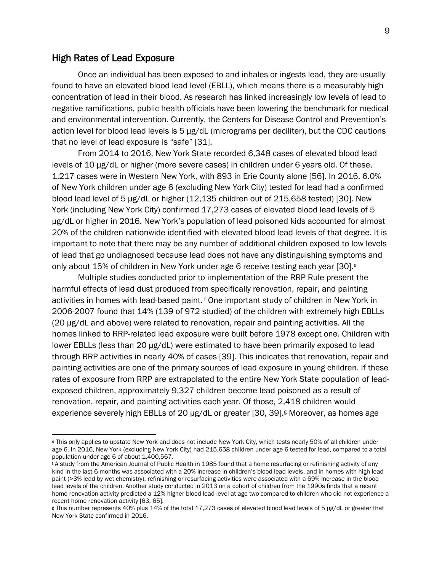#### <span id="page-8-0"></span>High Rates of Lead Exposure

Once an individual has been exposed to and inhales or ingests lead, they are usually found to have an elevated blood lead level (EBLL), which means there is a measurably high concentration of lead in their blood. As research has linked increasingly low levels of lead to negative ramifications, public health officials have been lowering the benchmark for medical and environmental intervention. Currently, the Centers for Disease Control and Prevention's action level for blood lead levels is 5 µg/dL (micrograms per deciliter), but the CDC cautions that no level of lead exposure is "safe" [31].

From 2014 to 2016, New York State recorded 6,348 cases of elevated blood lead levels of 10 µg/dL or higher (more severe cases) in children under 6 years old. Of these, 1,217 cases were in Western New York, with 893 in Erie County alone [56]. In 2016, 6.0% of New York children under age 6 (excluding New York City) tested for lead had a confirmed blood lead level of 5 µg/dL or higher (12,135 children out of 215,658 tested) [30]. New York (including New York City) confirmed 17,273 cases of elevated blood lead levels of 5 µg/dL or higher in 2016. New York's population of lead poisoned kids accounted for almost 20% of the children nationwide identified with elevated blood lead levels of that degree. It is important to note that there may be any number of additional children exposed to low levels of lead that go undiagnosed because lead does not have any distinguishing symptoms and only about 15% of children in New York under age 6 receive testing each year [30].<sup>e</sup>

Multiple studies conducted prior to implementation of the RRP Rule present the harmful effects of lead dust produced from specifically renovation, repair, and painting activities in homes with lead-based paint. <sup>f</sup> One important study of children in New York in 2006-2007 found that 14% (139 of 972 studied) of the children with extremely high EBLLs (20 µg/dL and above) were related to renovation, repair and painting activities. All the homes linked to RRP-related lead exposure were built before 1978 except one. Children with lower EBLLs (less than 20  $\mu$ g/dL) were estimated to have been primarily exposed to lead through RRP activities in nearly 40% of cases [39]. This indicates that renovation, repair and painting activities are one of the primary sources of lead exposure in young children. If these rates of exposure from RRP are extrapolated to the entire New York State population of leadexposed children, approximately 9,327 children become lead poisoned as a result of renovation, repair, and painting activities each year. Of those, 2,418 children would experience severely high EBLLs of 20  $\mu$ g/dL or greater [30, 39]. Moreover, as homes age

<sup>e</sup> This only applies to upstate New York and does not include New York City, which tests nearly 50% of all children under age 6. In 2016, New York (excluding New York City) had 215,658 children under age 6 tested for lead, compared to a total population under age 6 of about 1,400,567.

<sup>f</sup> A study from the American Journal of Public Health in 1985 found that a home resurfacing or refinishing activity of any kind in the last 6 months was associated with a 20% increase in children's blood lead levels, and in homes with high lead paint (>3% lead by wet chemistry), refinishing or resurfacing activities were associated with a 69% increase in the blood lead levels of the children. Another study conducted in 2013 on a cohort of children from the 1990s finds that a recent home renovation activity predicted a 12% higher blood lead level at age two compared to children who did not experience a recent home renovation activity [63, 65].

<sup>g</sup> This number represents 40% plus 14% of the total 17,273 cases of elevated blood lead levels of 5 µg/dL or greater that New York State confirmed in 2016.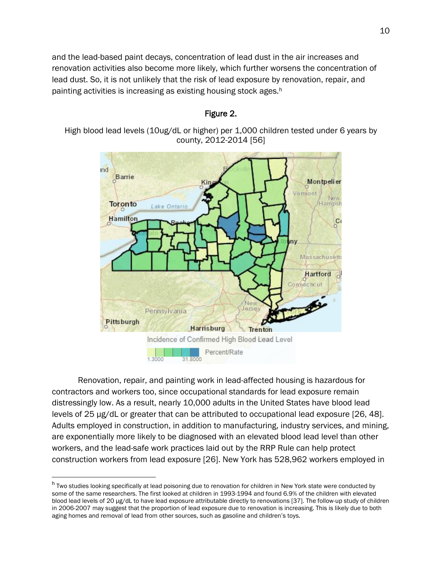and the lead-based paint decays, concentration of lead dust in the air increases and renovation activities also become more likely, which further worsens the concentration of lead dust. So, it is not unlikely that the risk of lead exposure by renovation, repair, and painting activities is increasing as existing housing stock ages.<sup>h</sup>

## ind Barrie Montpelier /emont New Toronto Hampsh Lake Ontario Hamilton с Massachusetts Hartford onnécticu: lerse Pennsylvania Pittsburgh Harrisburg Trenton Incidence of Confirmed High Blood Lead Level Percent/Rate

Figure 2.

High blood lead levels (10ug/dL or higher) per 1,000 children tested under 6 years by county, 2012-2014 [56]

Renovation, repair, and painting work in lead-affected housing is hazardous for contractors and workers too, since occupational standards for lead exposure remain distressingly low. As a result, nearly 10,000 adults in the United States have blood lead levels of 25 µg/dL or greater that can be attributed to occupational lead exposure [26, 48]. Adults employed in construction, in addition to manufacturing, industry services, and mining, are exponentially more likely to be diagnosed with an elevated blood lead level than other workers, and the lead-safe work practices laid out by the RRP Rule can help protect construction workers from lead exposure [26]. New York has 528,962 workers employed in

<sup>&</sup>lt;sup>h</sup> Two studies looking specifically at lead poisoning due to renovation for children in New York state were conducted by some of the same researchers. The first looked at children in 1993-1994 and found 6.9% of the children with elevated blood lead levels of 20 µg/dL to have lead exposure attributable directly to renovations [37]. The follow-up study of children in 2006-2007 may suggest that the proportion of lead exposure due to renovation is increasing. This is likely due to both aging homes and removal of lead from other sources, such as gasoline and children's toys.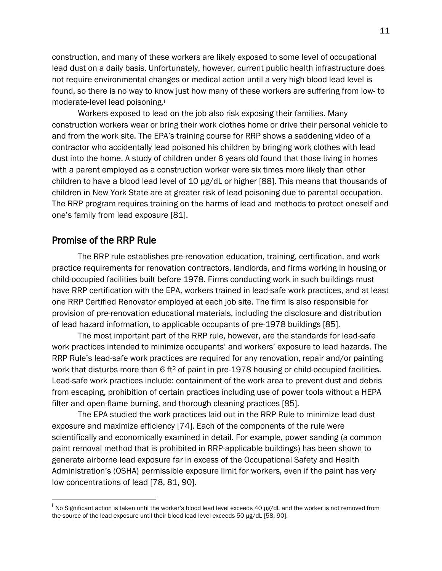construction, and many of these workers are likely exposed to some level of occupational lead dust on a daily basis. Unfortunately, however, current public health infrastructure does not require environmental changes or medical action until a very high blood lead level is found, so there is no way to know just how many of these workers are suffering from low- to moderate-level lead poisoning.<sup>i</sup>

Workers exposed to lead on the job also risk exposing their families. Many construction workers wear or bring their work clothes home or drive their personal vehicle to and from the work site. The EPA's training course for RRP shows a saddening video of a contractor who accidentally lead poisoned his children by bringing work clothes with lead dust into the home. A study of children under 6 years old found that those living in homes with a parent employed as a construction worker were six times more likely than other children to have a blood lead level of 10 μg/dL or higher [88]. This means that thousands of children in New York State are at greater risk of lead poisoning due to parental occupation. The RRP program requires training on the harms of lead and methods to protect oneself and one's family from lead exposure [81].

#### <span id="page-10-0"></span>Promise of the RRP Rule

The RRP rule establishes pre-renovation education, training, certification, and work practice requirements for renovation contractors, landlords, and firms working in housing or child-occupied facilities built before 1978. Firms conducting work in such buildings must have RRP certification with the EPA, workers trained in lead-safe work practices, and at least one RRP Certified Renovator employed at each job site. The firm is also responsible for provision of pre-renovation educational materials, including the disclosure and distribution of lead hazard information, to applicable occupants of pre-1978 buildings [85].

The most important part of the RRP rule, however, are the standards for lead-safe work practices intended to minimize occupants' and workers' exposure to lead hazards. The RRP Rule's lead-safe work practices are required for any renovation, repair and/or painting work that disturbs more than 6 ft<sup>2</sup> of paint in pre-1978 housing or child-occupied facilities. Lead-safe work practices include: containment of the work area to prevent dust and debris from escaping, prohibition of certain practices including use of power tools without a HEPA filter and open-flame burning, and thorough cleaning practices [85].

The EPA studied the work practices laid out in the RRP Rule to minimize lead dust exposure and maximize efficiency [74]. Each of the components of the rule were scientifically and economically examined in detail. For example, power sanding (a common paint removal method that is prohibited in RRP-applicable buildings) has been shown to generate airborne lead exposure far in excess of the Occupational Safety and Health Administration's (OSHA) permissible exposure limit for workers, even if the paint has very low concentrations of lead [78, 81, 90].

<sup>&</sup>lt;sup>i</sup> No Significant action is taken until the worker's blood lead level exceeds 40 µg/dL and the worker is not removed from the source of the lead exposure until their blood lead level exceeds 50 µg/dL [58, 90].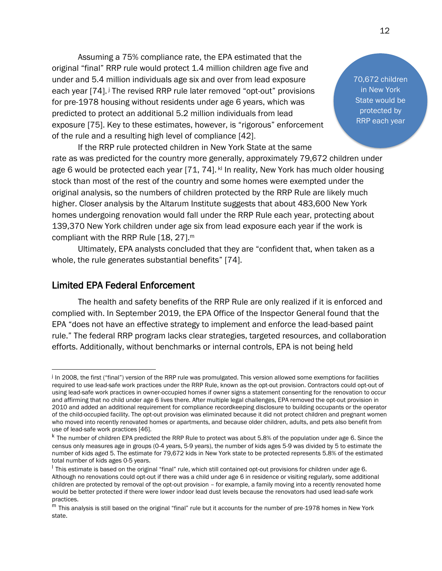Assuming a 75% compliance rate, the EPA estimated that the original "final" RRP rule would protect 1.4 million children age five and under and 5.4 million individuals age six and over from lead exposure each year [74].<sup>j</sup> The revised RRP rule later removed "opt-out" provisions for pre-1978 housing without residents under age 6 years, which was predicted to protect an additional 5.2 million individuals from lead exposure [75]. Key to these estimates, however, is "rigorous" enforcement of the rule and a resulting high level of compliance [42].

If the RRP rule protected children in New York State at the same rate as was predicted for the country more generally, approximately 79,672 children under age 6 would be protected each year [71, 74]. kl In reality, New York has much older housing stock than most of the rest of the country and some homes were exempted under the original analysis, so the numbers of children protected by the RRP Rule are likely much higher. Closer analysis by the Altarum Institute suggests that about 483,600 New York homes undergoing renovation would fall under the RRP Rule each year, protecting about 139,370 New York children under age six from lead exposure each year if the work is compliant with the RRP Rule [18, 27].<sup>m</sup>

Ultimately, EPA analysts concluded that they are "confident that, when taken as a whole, the rule generates substantial benefits" [74].

#### <span id="page-11-0"></span>Limited EPA Federal Enforcement

The health and safety benefits of the RRP Rule are only realized if it is enforced and complied with. In September 2019, the EPA Office of the Inspector General found that the EPA "does not have an effective strategy to implement and enforce the lead-based paint rule." The federal RRP program lacks clear strategies, targeted resources, and collaboration efforts. Additionally, without benchmarks or internal controls, EPA is not being held

70,672 children in New York State would be protected by RRP each year

In 2008, the first ("final") version of the RRP rule was promulgated. This version allowed some exemptions for facilities required to use lead-safe work practices under the RRP Rule, known as the opt-out provision. Contractors could opt-out of using lead-safe work practices in owner-occupied homes if owner signs a statement consenting for the renovation to occur and affirming that no child under age 6 lives there. After multiple legal challenges, EPA removed the opt-out provision in 2010 and added an additional requirement for compliance recordkeeping disclosure to building occupants or the operator of the child-occupied facility. The opt-out provision was eliminated because it did not protect children and pregnant women who moved into recently renovated homes or apartments, and because older children, adults, and pets also benefit from use of lead-safe work practices [46].

<sup>&</sup>lt;sup>k</sup> The number of children EPA predicted the RRP Rule to protect was about 5.8% of the population under age 6. Since the census only measures age in groups (0-4 years, 5-9 years), the number of kids ages 5-9 was divided by 5 to estimate the number of kids aged 5. The estimate for 79,672 kids in New York state to be protected represents 5.8% of the estimated total number of kids ages 0-5 years.

<sup>&</sup>lt;sup>l</sup> This estimate is based on the original "final" rule, which still contained opt-out provisions for children under age 6. Although no renovations could opt-out if there was a child under age 6 in residence or visiting regularly, some additional children are protected by removal of the opt-out provision – for example, a family moving into a recently renovated home would be better protected if there were lower indoor lead dust levels because the renovators had used lead-safe work practices.

 $<sup>m</sup>$  This analysis is still based on the original "final" rule but it accounts for the number of pre-1978 homes in New York</sup> state.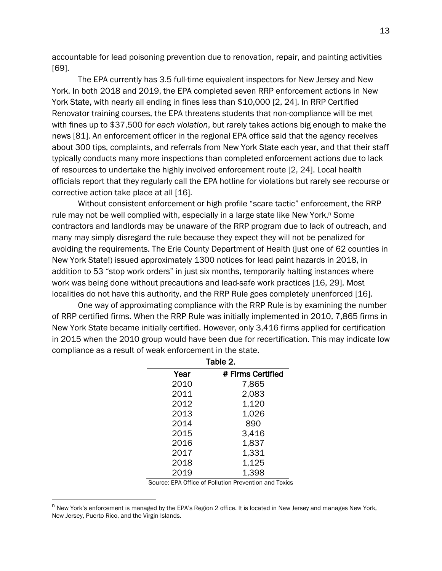accountable for lead poisoning prevention due to renovation, repair, and painting activities [69].

The EPA currently has 3.5 full-time equivalent inspectors for New Jersey and New York. In both 2018 and 2019, the EPA completed seven RRP enforcement actions in New York State, with nearly all ending in fines less than \$10,000 [2, 24]. In RRP Certified Renovator training courses, the EPA threatens students that non-compliance will be met with fines up to \$37,500 for *each violation*, but rarely takes actions big enough to make the news [81]. An enforcement officer in the regional EPA office said that the agency receives about 300 tips, complaints, and referrals from New York State each year, and that their staff typically conducts many more inspections than completed enforcement actions due to lack of resources to undertake the highly involved enforcement route [2, 24]. Local health officials report that they regularly call the EPA hotline for violations but rarely see recourse or corrective action take place at all [16].

Without consistent enforcement or high profile "scare tactic" enforcement, the RRP rule may not be well complied with, especially in a large state like New York.<sup>n</sup> Some contractors and landlords may be unaware of the RRP program due to lack of outreach, and many may simply disregard the rule because they expect they will not be penalized for avoiding the requirements. The Erie County Department of Health (just one of 62 counties in New York State!) issued approximately 1300 notices for lead paint hazards in 2018, in addition to 53 "stop work orders" in just six months, temporarily halting instances where work was being done without precautions and lead-safe work practices [16, 29]. Most localities do not have this authority, and the RRP Rule goes completely unenforced [16].

One way of approximating compliance with the RRP Rule is by examining the number of RRP certified firms. When the RRP Rule was initially implemented in 2010, 7,865 firms in New York State became initially certified. However, only 3,416 firms applied for certification in 2015 when the 2010 group would have been due for recertification. This may indicate low compliance as a result of weak enforcement in the state.

| Table 2. |                   |  |  |  |
|----------|-------------------|--|--|--|
| Year     | # Firms Certified |  |  |  |
| 2010     | 7,865             |  |  |  |
| 2011     | 2,083             |  |  |  |
| 2012     | 1,120             |  |  |  |
| 2013     | 1,026             |  |  |  |
| 2014     | 890               |  |  |  |
| 2015     | 3,416             |  |  |  |
| 2016     | 1,837             |  |  |  |
| 2017     | 1,331             |  |  |  |
| 2018     | 1,125             |  |  |  |
| 2019     | 1,398             |  |  |  |

Source: EPA Office of Pollution Prevention and Toxics

 $n$  New York's enforcement is managed by the EPA's Region 2 office. It is located in New Jersey and manages New York, New Jersey, Puerto Rico, and the Virgin Islands.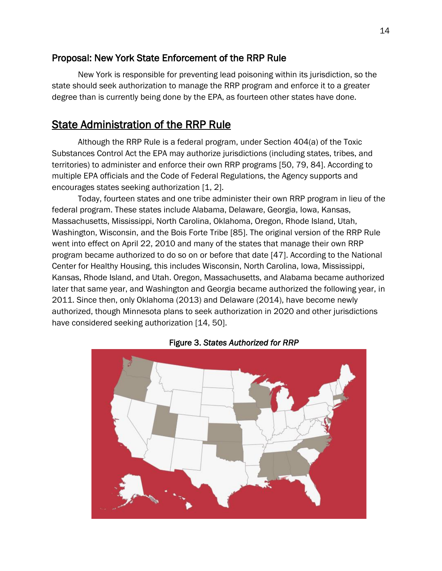## <span id="page-13-0"></span>Proposal: New York State Enforcement of the RRP Rule

New York is responsible for preventing lead poisoning within its jurisdiction, so the state should seek authorization to manage the RRP program and enforce it to a greater degree than is currently being done by the EPA, as fourteen other states have done.

## <span id="page-13-1"></span>State Administration of the RRP Rule

Although the RRP Rule is a federal program, under Section 404(a) of the Toxic Substances Control Act the EPA may authorize jurisdictions (including states, tribes, and territories) to administer and enforce their own RRP programs [50, 79, 84]. According to multiple EPA officials and the Code of Federal Regulations, the Agency supports and encourages states seeking authorization [1, 2].

Today, fourteen states and one tribe administer their own RRP program in lieu of the federal program. These states include Alabama, Delaware, Georgia, Iowa, Kansas, Massachusetts, Mississippi, North Carolina, Oklahoma, Oregon, Rhode Island, Utah, Washington, Wisconsin, and the Bois Forte Tribe [85]. The original version of the RRP Rule went into effect on April 22, 2010 and many of the states that manage their own RRP program became authorized to do so on or before that date [47]. According to the National Center for Healthy Housing, this includes Wisconsin, North Carolina, Iowa, Mississippi, Kansas, Rhode Island, and Utah. Oregon, Massachusetts, and Alabama became authorized later that same year, and Washington and Georgia became authorized the following year, in 2011. Since then, only Oklahoma (2013) and Delaware (2014), have become newly authorized, though Minnesota plans to seek authorization in 2020 and other jurisdictions have considered seeking authorization [14, 50].



#### Figure 3. *States Authorized for RRP*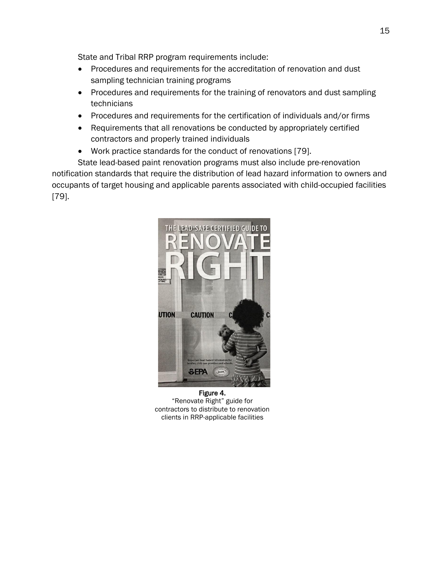State and Tribal RRP program requirements include:

- Procedures and requirements for the accreditation of renovation and dust sampling technician training programs
- Procedures and requirements for the training of renovators and dust sampling technicians
- Procedures and requirements for the certification of individuals and/or firms
- Requirements that all renovations be conducted by appropriately certified contractors and properly trained individuals
- Work practice standards for the conduct of renovations [79].

State lead-based paint renovation programs must also include pre-renovation notification standards that require the distribution of lead hazard information to owners and occupants of target housing and applicable parents associated with child-occupied facilities [79].



Figure 4. "Renovate Right" guide for contractors to distribute to renovation clients in RRP-applicable facilities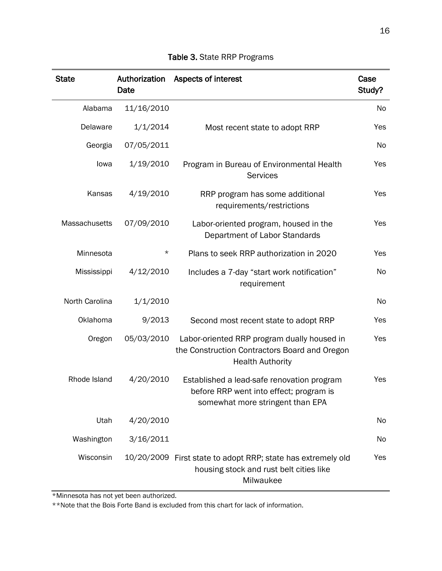| <b>State</b>   | Authorization<br>Date | Aspects of interest                                                                                                       | Case<br>Study? |
|----------------|-----------------------|---------------------------------------------------------------------------------------------------------------------------|----------------|
| Alabama        | 11/16/2010            |                                                                                                                           | <b>No</b>      |
| Delaware       | 1/1/2014              | Most recent state to adopt RRP                                                                                            | Yes            |
| Georgia        | 07/05/2011            |                                                                                                                           | No             |
| lowa           | 1/19/2010             | Program in Bureau of Environmental Health<br><b>Services</b>                                                              | Yes            |
| Kansas         | 4/19/2010             | RRP program has some additional<br>requirements/restrictions                                                              | Yes            |
| Massachusetts  | 07/09/2010            | Labor-oriented program, housed in the<br>Department of Labor Standards                                                    | Yes            |
| Minnesota      | $^\star$              | Plans to seek RRP authorization in 2020                                                                                   | Yes            |
| Mississippi    | 4/12/2010             | Includes a 7-day "start work notification"<br>requirement                                                                 | No             |
| North Carolina | 1/1/2010              |                                                                                                                           | No             |
| Oklahoma       | 9/2013                | Second most recent state to adopt RRP                                                                                     | Yes            |
| Oregon         | 05/03/2010            | Labor-oriented RRP program dually housed in<br>the Construction Contractors Board and Oregon<br><b>Health Authority</b>   | Yes            |
| Rhode Island   | 4/20/2010             | Established a lead-safe renovation program<br>before RRP went into effect; program is<br>somewhat more stringent than EPA | Yes            |
| Utah           | 4/20/2010             |                                                                                                                           | No             |
| Washington     | 3/16/2011             |                                                                                                                           | No             |
| Wisconsin      |                       | 10/20/2009 First state to adopt RRP; state has extremely old<br>housing stock and rust belt cities like<br>Milwaukee      | Yes            |

## Table 3. State RRP Programs

\*Minnesota has not yet been authorized.

\*\*Note that the Bois Forte Band is excluded from this chart for lack of information.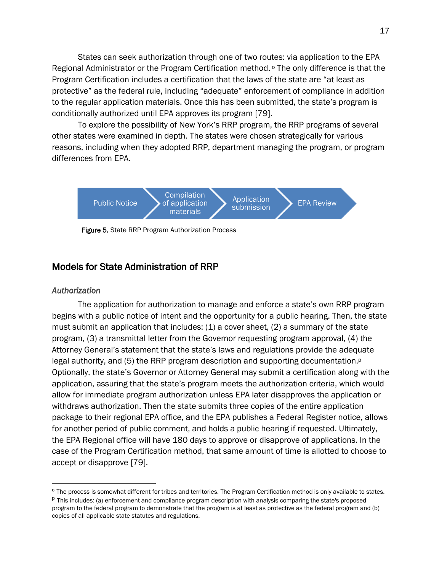States can seek authorization through one of two routes: via application to the EPA Regional Administrator or the Program Certification method. <sup>o</sup> The only difference is that the Program Certification includes a certification that the laws of the state are "at least as protective" as the federal rule, including "adequate" enforcement of compliance in addition to the regular application materials. Once this has been submitted, the state's program is conditionally authorized until EPA approves its program [79].

To explore the possibility of New York's RRP program, the RRP programs of several other states were examined in depth. The states were chosen strategically for various reasons, including when they adopted RRP, department managing the program, or program differences from EPA.



Figure 5. State RRP Program Authorization Process

### <span id="page-16-0"></span>Models for State Administration of RRP

#### <span id="page-16-1"></span>*Authorization*

The application for authorization to manage and enforce a state's own RRP program begins with a public notice of intent and the opportunity for a public hearing. Then, the state must submit an application that includes:  $(1)$  a cover sheet,  $(2)$  a summary of the state program, (3) a transmittal letter from the Governor requesting program approval, (4) the Attorney General's statement that the state's laws and regulations provide the adequate legal authority, and (5) the RRP program description and supporting documentation.<sup>p</sup> Optionally, the state's Governor or Attorney General may submit a certification along with the application, assuring that the state's program meets the authorization criteria, which would allow for immediate program authorization unless EPA later disapproves the application or withdraws authorization. Then the state submits three copies of the entire application package to their regional EPA office, and the EPA publishes a Federal Register notice, allows for another period of public comment, and holds a public hearing if requested. Ultimately, the EPA Regional office will have 180 days to approve or disapprove of applications. In the case of the Program Certification method, that same amount of time is allotted to choose to accept or disapprove [79].

<sup>&</sup>lt;sup>o</sup> The process is somewhat different for tribes and territories. The Program Certification method is only available to states.

<sup>&</sup>lt;sup>p</sup> This includes: (a) enforcement and compliance program description with analysis comparing the state's proposed program to the federal program to demonstrate that the program is at least as protective as the federal program and (b) copies of all applicable state statutes and regulations.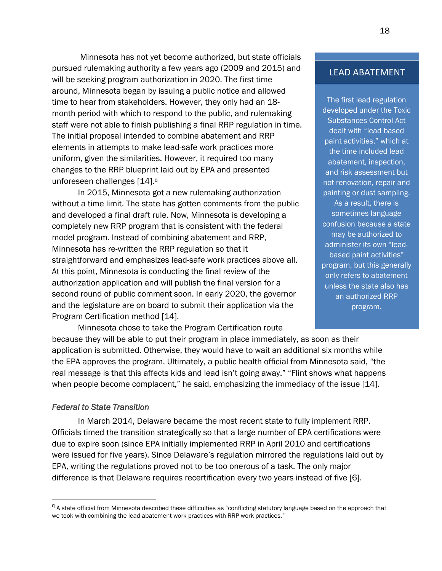Minnesota has not yet become authorized, but state officials pursued rulemaking authority a few years ago (2009 and 2015) and will be seeking program authorization in 2020. The first time around, Minnesota began by issuing a public notice and allowed time to hear from stakeholders. However, they only had an 18 month period with which to respond to the public, and rulemaking staff were not able to finish publishing a final RRP regulation in time. The initial proposal intended to combine abatement and RRP elements in attempts to make lead-safe work practices more uniform, given the similarities. However, it required too many changes to the RRP blueprint laid out by EPA and presented unforeseen challenges [14].<sup>q</sup>

In 2015, Minnesota got a new rulemaking authorization without a time limit. The state has gotten comments from the public and developed a final draft rule. Now, Minnesota is developing a completely new RRP program that is consistent with the federal model program. Instead of combining abatement and RRP, Minnesota has re-written the RRP regulation so that it straightforward and emphasizes lead-safe work practices above all. At this point, Minnesota is conducting the final review of the authorization application and will publish the final version for a second round of public comment soon. In early 2020, the governor and the legislature are on board to submit their application via the Program Certification method [14].

Minnesota chose to take the Program Certification route

LEAD ABATEMENT

The first lead regulation developed under the Toxic Substances Control Act dealt with "lead based paint activities," which at the time included lead abatement, inspection, and risk assessment but not renovation, repair and painting or dust sampling. As a result, there is sometimes language confusion because a state may be authorized to administer its own "leadbased paint activities" program, but this generally only refers to abatement unless the state also has an authorized RRP program.

because they will be able to put their program in place immediately, as soon as their application is submitted. Otherwise, they would have to wait an additional six months while the EPA approves the program. Ultimately, a public health official from Minnesota said, "the real message is that this affects kids and lead isn't going away." "Flint shows what happens when people become complacent," he said, emphasizing the immediacy of the issue [14].

#### <span id="page-17-0"></span>*Federal to State Transition*

In March 2014, Delaware became the most recent state to fully implement RRP. Officials timed the transition strategically so that a large number of EPA certifications were due to expire soon (since EPA initially implemented RRP in April 2010 and certifications were issued for five years). Since Delaware's regulation mirrored the regulations laid out by EPA, writing the regulations proved not to be too onerous of a task. The only major difference is that Delaware requires recertification every two years instead of five [6].

<sup>&</sup>lt;sup>q</sup> A state official from Minnesota described these difficulties as "conflicting statutory language based on the approach that we took with combining the lead abatement work practices with RRP work practices."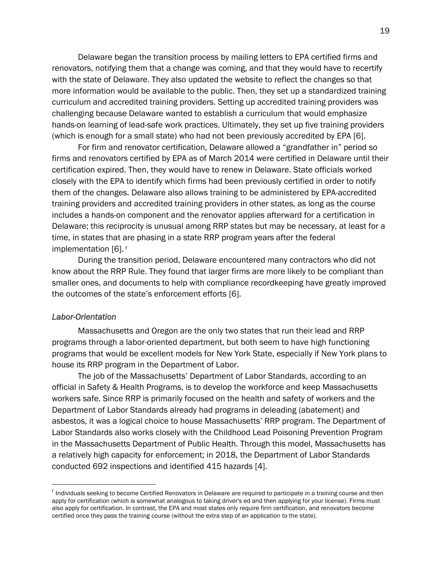Delaware began the transition process by mailing letters to EPA certified firms and renovators, notifying them that a change was coming, and that they would have to recertify with the state of Delaware. They also updated the website to reflect the changes so that more information would be available to the public. Then, they set up a standardized training curriculum and accredited training providers. Setting up accredited training providers was challenging because Delaware wanted to establish a curriculum that would emphasize hands-on learning of lead-safe work practices. Ultimately, they set up five training providers (which is enough for a small state) who had not been previously accredited by EPA [6].

For firm and renovator certification, Delaware allowed a "grandfather in" period so firms and renovators certified by EPA as of March 2014 were certified in Delaware until their certification expired. Then, they would have to renew in Delaware. State officials worked closely with the EPA to identify which firms had been previously certified in order to notify them of the changes. Delaware also allows training to be administered by EPA-accredited training providers and accredited training providers in other states, as long as the course includes a hands-on component and the renovator applies afterward for a certification in Delaware; this reciprocity is unusual among RRP states but may be necessary, at least for a time, in states that are phasing in a state RRP program years after the federal implementation [6].<sup>r</sup>

During the transition period, Delaware encountered many contractors who did not know about the RRP Rule. They found that larger firms are more likely to be compliant than smaller ones, and documents to help with compliance recordkeeping have greatly improved the outcomes of the state's enforcement efforts [6].

#### <span id="page-18-0"></span>*Labor-Orientation*

Massachusetts and Oregon are the only two states that run their lead and RRP programs through a labor-oriented department, but both seem to have high functioning programs that would be excellent models for New York State, especially if New York plans to house its RRP program in the Department of Labor.

The job of the Massachusetts' Department of Labor Standards, according to an official in Safety & Health Programs, is to develop the workforce and keep Massachusetts workers safe. Since RRP is primarily focused on the health and safety of workers and the Department of Labor Standards already had programs in deleading (abatement) and asbestos, it was a logical choice to house Massachusetts' RRP program. The Department of Labor Standards also works closely with the Childhood Lead Poisoning Prevention Program in the Massachusetts Department of Public Health. Through this model, Massachusetts has a relatively high capacity for enforcement; in 2018, the Department of Labor Standards conducted 692 inspections and identified 415 hazards [4].

<sup>&</sup>lt;sup>r</sup> Individuals seeking to become Certified Renovators in Delaware are required to participate in a training course and then apply for certification (which is somewhat analogous to taking driver's ed and then applying for your license). Firms must also apply for certification. In contrast, the EPA and most states only require firm certification, and renovators become certified once they pass the training course (without the extra step of an application to the state).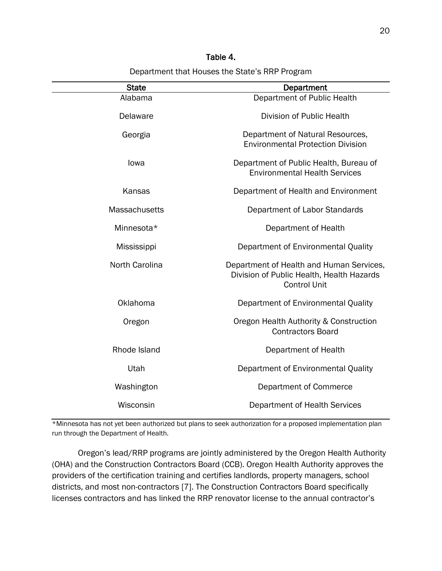| Department that Houses the State's RRP Program |                                                                                                              |  |  |  |
|------------------------------------------------|--------------------------------------------------------------------------------------------------------------|--|--|--|
| <b>State</b>                                   | Department                                                                                                   |  |  |  |
| Alabama                                        | Department of Public Health                                                                                  |  |  |  |
| Delaware                                       | Division of Public Health                                                                                    |  |  |  |
| Georgia                                        | Department of Natural Resources,<br><b>Environmental Protection Division</b>                                 |  |  |  |
| lowa                                           | Department of Public Health, Bureau of<br><b>Environmental Health Services</b>                               |  |  |  |
| Kansas                                         | Department of Health and Environment                                                                         |  |  |  |
| <b>Massachusetts</b>                           | Department of Labor Standards                                                                                |  |  |  |
| Minnesota*                                     | Department of Health                                                                                         |  |  |  |
| Mississippi                                    | Department of Environmental Quality                                                                          |  |  |  |
| North Carolina                                 | Department of Health and Human Services,<br>Division of Public Health, Health Hazards<br><b>Control Unit</b> |  |  |  |
| Oklahoma                                       | Department of Environmental Quality                                                                          |  |  |  |
| Oregon                                         | Oregon Health Authority & Construction<br><b>Contractors Board</b>                                           |  |  |  |
| Rhode Island                                   | Department of Health                                                                                         |  |  |  |
| Utah                                           | Department of Environmental Quality                                                                          |  |  |  |
| Washington                                     | Department of Commerce                                                                                       |  |  |  |

Table 4.

\*Minnesota has not yet been authorized but plans to seek authorization for a proposed implementation plan run through the Department of Health.

Wisconsin Department of Health Services

Oregon's lead/RRP programs are jointly administered by the Oregon Health Authority (OHA) and the Construction Contractors Board (CCB). Oregon Health Authority approves the providers of the certification training and certifies landlords, property managers, school districts, and most non-contractors [7]. The Construction Contractors Board specifically licenses contractors and has linked the RRP renovator license to the annual contractor's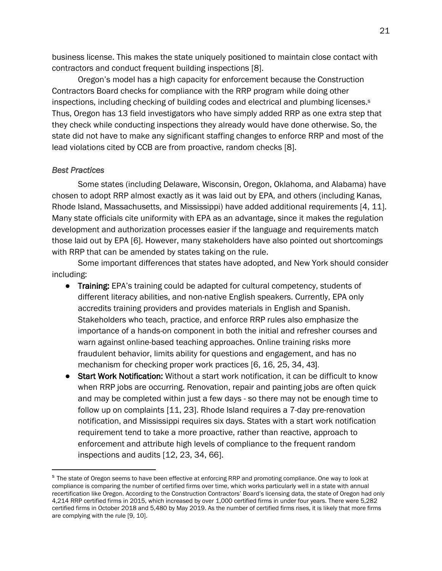business license. This makes the state uniquely positioned to maintain close contact with contractors and conduct frequent building inspections [8].

Oregon's model has a high capacity for enforcement because the Construction Contractors Board checks for compliance with the RRP program while doing other inspections, including checking of building codes and electrical and plumbing licenses. s Thus, Oregon has 13 field investigators who have simply added RRP as one extra step that they check while conducting inspections they already would have done otherwise. So, the state did not have to make any significant staffing changes to enforce RRP and most of the lead violations cited by CCB are from proactive, random checks [8].

#### <span id="page-20-0"></span>*Best Practices*

Some states (including Delaware, Wisconsin, Oregon, Oklahoma, and Alabama) have chosen to adopt RRP almost exactly as it was laid out by EPA, and others (including Kanas, Rhode Island, Massachusetts, and Mississippi) have added additional requirements [4, 11]. Many state officials cite uniformity with EPA as an advantage, since it makes the regulation development and authorization processes easier if the language and requirements match those laid out by EPA [6]. However, many stakeholders have also pointed out shortcomings with RRP that can be amended by states taking on the rule.

Some important differences that states have adopted, and New York should consider including:

- Training: EPA's training could be adapted for cultural competency, students of different literacy abilities, and non-native English speakers. Currently, EPA only accredits training providers and provides materials in English and Spanish. Stakeholders who teach, practice, and enforce RRP rules also emphasize the importance of a hands-on component in both the initial and refresher courses and warn against online-based teaching approaches. Online training risks more fraudulent behavior, limits ability for questions and engagement, and has no mechanism for checking proper work practices [6, 16, 25, 34, 43].
- Start Work Notification: Without a start work notification, it can be difficult to know when RRP jobs are occurring. Renovation, repair and painting jobs are often quick and may be completed within just a few days - so there may not be enough time to follow up on complaints [11, 23]. Rhode Island requires a 7-day pre-renovation notification, and Mississippi requires six days. States with a start work notification requirement tend to take a more proactive, rather than reactive, approach to enforcement and attribute high levels of compliance to the frequent random inspections and audits [12, 23, 34, 66].

<sup>&</sup>lt;sup>s</sup> The state of Oregon seems to have been effective at enforcing RRP and promoting compliance. One way to look at compliance is comparing the number of certified firms over time, which works particularly well in a state with annual recertification like Oregon. According to the Construction Contractors' Board's licensing data, the state of Oregon had only 4,214 RRP certified firms in 2015, which increased by over 1,000 certified firms in under four years. There were 5,282 certified firms in October 2018 and 5,480 by May 2019. As the number of certified firms rises, it is likely that more firms are complying with the rule [9, 10].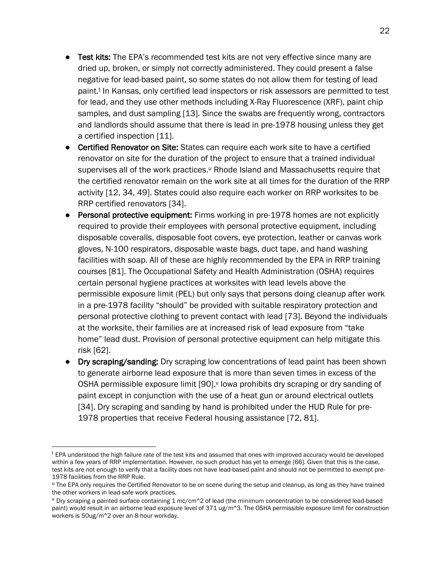- Test kits: The EPA's recommended test kits are not very effective since many are dried up, broken, or simply not correctly administered. They could present a false negative for lead-based paint, so some states do not allow them for testing of lead paint.<sup>t</sup> In Kansas, only certified lead inspectors or risk assessors are permitted to test for lead, and they use other methods including X-Ray Fluorescence (XRF), paint chip samples, and dust sampling [13]. Since the swabs are frequently wrong, contractors and landlords should assume that there is lead in pre-1978 housing unless they get a certified inspection [11].
- Certified Renovator on Site: States can require each work site to have a certified renovator on site for the duration of the project to ensure that a trained individual supervises all of the work practices.<sup>u</sup> Rhode Island and Massachusetts require that the certified renovator remain on the work site at all times for the duration of the RRP activity [12, 34, 49]. States could also require each worker on RRP worksites to be RRP certified renovators [34].
- Personal protective equipment: Firms working in pre-1978 homes are not explicitly required to provide their employees with personal protective equipment, including disposable coveralls, disposable foot covers, eye protection, leather or canvas work gloves, N-100 respirators, disposable waste bags, duct tape, and hand washing facilities with soap. All of these are highly recommended by the EPA in RRP training courses [81]. The Occupational Safety and Health Administration (OSHA) requires certain personal hygiene practices at worksites with lead levels above the permissible exposure limit (PEL) but only says that persons doing cleanup after work in a pre-1978 facility "should" be provided with suitable respiratory protection and personal protective clothing to prevent contact with lead [73]. Beyond the individuals at the worksite, their families are at increased risk of lead exposure from "take home" lead dust. Provision of personal protective equipment can help mitigate this risk [62].
- Dry scraping/sanding: Dry scraping low concentrations of lead paint has been shown to generate airborne lead exposure that is more than seven times in excess of the OSHA permissible exposure limit [90].<sup>v</sup> lowa prohibits dry scraping or dry sanding of paint except in conjunction with the use of a heat gun or around electrical outlets [34]. Dry scraping and sanding by hand is prohibited under the HUD Rule for pre-1978 properties that receive Federal housing assistance [72, 81].

<sup>&</sup>lt;sup>t</sup> EPA understood the high failure rate of the test kits and assumed that ones with improved accuracy would be developed within a few years of RRP implementation. However, no such product has yet to emerge [66]. Given that this is the case, test kits are not enough to verify that a facility does not have lead-based paint and should not be permitted to exempt pre-1978 facilities from the RRP Rule.

<sup>u</sup> The EPA only requires the Certified Renovator to be on scene during the setup and cleanup, as long as they have trained the other workers in lead-safe work practices.

 $\rm{v}$  Dry scraping a painted surface containing 1 mc/cm $\rm{^{\circ}2}$  of lead (the minimum concentration to be considered lead-based paint) would result in an airborne lead exposure level of 371 ug/m^3. The OSHA permissible exposure limit for construction workers is 50ug/m^2 over an 8-hour workday.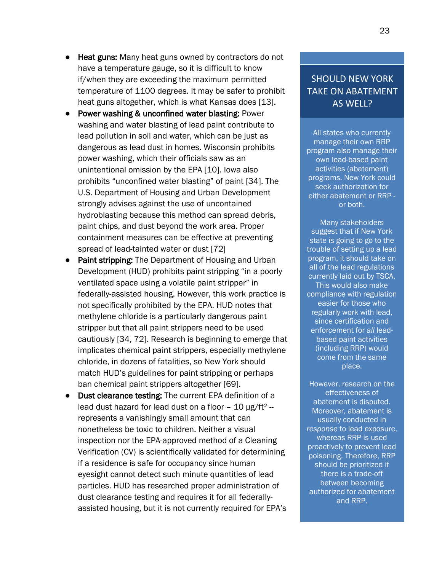- **Heat guns:** Many heat guns owned by contractors do not have a temperature gauge, so it is difficult to know if/when they are exceeding the maximum permitted temperature of 1100 degrees. It may be safer to prohibit heat guns altogether, which is what Kansas does [13].
- Power washing & unconfined water blasting: Power washing and water blasting of lead paint contribute to lead pollution in soil and water, which can be just as dangerous as lead dust in homes. Wisconsin prohibits power washing, which their officials saw as an unintentional omission by the EPA [10]. Iowa also prohibits "unconfined water blasting" of paint [34]. The U.S. Department of Housing and Urban Development strongly advises against the use of uncontained hydroblasting because this method can spread debris, paint chips, and dust beyond the work area. Proper containment measures can be effective at preventing spread of lead-tainted water or dust [72]
- Paint stripping: The Department of Housing and Urban Development (HUD) prohibits paint stripping "in a poorly ventilated space using a volatile paint stripper" in federally-assisted housing. However, this work practice is not specifically prohibited by the EPA. HUD notes that methylene chloride is a particularly dangerous paint stripper but that all paint strippers need to be used cautiously [34, 72]. Research is beginning to emerge that implicates chemical paint strippers, especially methylene chloride, in dozens of fatalities, so New York should match HUD's guidelines for paint stripping or perhaps ban chemical paint strippers altogether [69].
- Dust clearance testing: The current EPA definition of a lead dust hazard for lead dust on a floor  $-10 \mu g / ft^2$ represents a vanishingly small amount that can nonetheless be toxic to children. Neither a visual inspection nor the EPA-approved method of a Cleaning Verification (CV) is scientifically validated for determining if a residence is safe for occupancy since human eyesight cannot detect such minute quantities of lead particles. HUD has researched proper administration of dust clearance testing and requires it for all federallyassisted housing, but it is not currently required for EPA's

## SHOULD NEW YORK TAKE ON ABATEMENT AS WELL?

All states who currently manage their own RRP program also manage their own lead-based paint activities (abatement) programs. New York could seek authorization for either abatement or RRP or both.

Many stakeholders suggest that if New York state is going to go to the trouble of setting up a lead program, it should take on all of the lead regulations currently laid out by TSCA. This would also make compliance with regulation easier for those who regularly work with lead, since certification and enforcement for *all* leadbased paint activities (including RRP) would come from the same place.

However, research on the effectiveness of abatement is disputed. Moreover, abatement is usually conducted in *response* to lead exposure, whereas RRP is used proactively to prevent lead poisoning. Therefore, RRP should be prioritized if there is a trade-off between becoming authorized for abatement and RRP.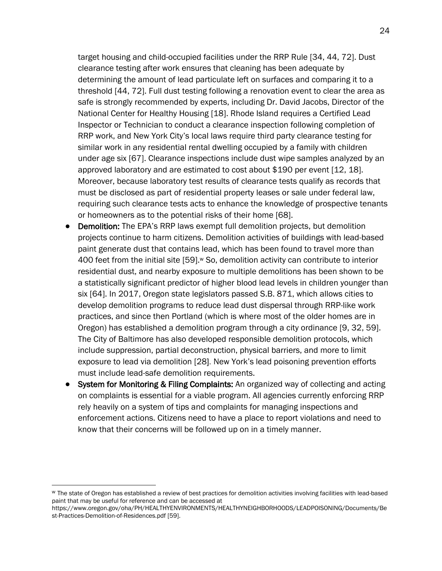target housing and child-occupied facilities under the RRP Rule [34, 44, 72]. Dust clearance testing after work ensures that cleaning has been adequate by determining the amount of lead particulate left on surfaces and comparing it to a threshold [44, 72]. Full dust testing following a renovation event to clear the area as safe is strongly recommended by experts, including Dr. David Jacobs, Director of the National Center for Healthy Housing [18]. Rhode Island requires a Certified Lead Inspector or Technician to conduct a clearance inspection following completion of RRP work, and New York City's local laws require third party clearance testing for similar work in any residential rental dwelling occupied by a family with children under age six [67]. Clearance inspections include dust wipe samples analyzed by an approved laboratory and are estimated to cost about \$190 per event [12, 18]. Moreover, because laboratory test results of clearance tests qualify as records that must be disclosed as part of residential property leases or sale under federal law, requiring such clearance tests acts to enhance the knowledge of prospective tenants or homeowners as to the potential risks of their home [68].

- **Demolition:** The EPA's RRP laws exempt full demolition projects, but demolition projects continue to harm citizens. Demolition activities of buildings with lead-based paint generate dust that contains lead, which has been found to travel more than 400 feet from the initial site [59].<sup>w</sup> So, demolition activity can contribute to interior residential dust, and nearby exposure to multiple demolitions has been shown to be a statistically significant predictor of higher blood lead levels in children younger than six [64]. In 2017, Oregon state legislators passed S.B. 871, which allows cities to develop demolition programs to reduce lead dust dispersal through RRP-like work practices, and since then Portland (which is where most of the older homes are in Oregon) has established a demolition program through a city ordinance [9, 32, 59]. The City of Baltimore has also developed responsible demolition protocols, which include suppression, partial deconstruction, physical barriers, and more to limit exposure to lead via demolition [28]. New York's lead poisoning prevention efforts must include lead-safe demolition requirements.
- System for Monitoring & Filing Complaints: An organized way of collecting and acting on complaints is essential for a viable program. All agencies currently enforcing RRP rely heavily on a system of tips and complaints for managing inspections and enforcement actions. Citizens need to have a place to report violations and need to know that their concerns will be followed up on in a timely manner.

<sup>w</sup> The state of Oregon has established a review of best practices for demolition activities involving facilities with lead-based paint that may be useful for reference and can be accessed at

https://www.oregon.gov/oha/PH/HEALTHYENVIRONMENTS/HEALTHYNEIGHBORHOODS/LEADPOISONING/Documents/Be st-Practices-Demolition-of-Residences.pdf [59].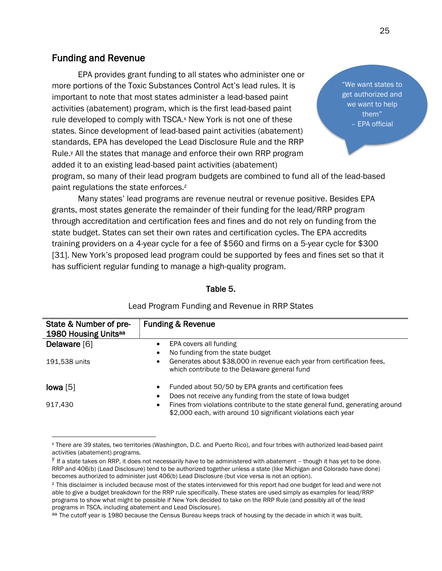## <span id="page-24-0"></span>Funding and Revenue

 EPA provides grant funding to all states who administer one or more portions of the Toxic Substances Control Act's lead rules. It is important to note that most states administer a lead-based paint activities (abatement) program, which is the first lead-based paint rule developed to comply with TSCA.<sup>x</sup> New York is not one of these states. Since development of lead-based paint activities (abatement) standards, EPA has developed the Lead Disclosure Rule and the RRP Rule.<sup>y</sup> All the states that manage and enforce their own RRP program added it to an existing lead-based paint activities (abatement)

"We want states to get authorized and we want to help them" – EPA official

program, so many of their lead program budgets are combined to fund all of the lead-based paint regulations the state enforces.<sup>z</sup>

Many states' lead programs are revenue neutral or revenue positive. Besides EPA grants, most states generate the remainder of their funding for the lead/RRP program through accreditation and certification fees and fines and do not rely on funding from the state budget. States can set their own rates and certification cycles. The EPA accredits training providers on a 4-year cycle for a fee of \$560 and firms on a 5-year cycle for \$300 [31]. New York's proposed lead program could be supported by fees and fines set so that it has sufficient regular funding to manage a high-quality program.

#### Table 5.

| State & Number of pre-           | <b>Funding &amp; Revenue</b>                                                                                                                                |  |  |
|----------------------------------|-------------------------------------------------------------------------------------------------------------------------------------------------------------|--|--|
| 1980 Housing Units <sup>aa</sup> |                                                                                                                                                             |  |  |
| Delaware [6]                     | EPA covers all funding<br>$\bullet$                                                                                                                         |  |  |
|                                  | No funding from the state budget<br>$\bullet$                                                                                                               |  |  |
| 191,538 units                    | Generates about \$38,000 in revenue each year from certification fees,<br>$\bullet$<br>which contribute to the Delaware general fund                        |  |  |
| lowa [5]                         | Funded about 50/50 by EPA grants and certification fees<br>$\bullet$                                                                                        |  |  |
|                                  | Does not receive any funding from the state of lowa budget<br>$\bullet$                                                                                     |  |  |
| 917.430                          | Fines from violations contribute to the state general fund, generating around<br>$\bullet$<br>\$2,000 each, with around 10 significant violations each year |  |  |

#### Lead Program Funding and Revenue in RRP States

<sup>x</sup> There are 39 states, two territories (Washington, D.C. and Puerto Rico), and four tribes with authorized lead-based paint activities (abatement) programs.

<sup>&</sup>lt;sup>y</sup> If a state takes on RRP, it does not necessarily have to be administered with abatement - though it has yet to be done. RRP and 406(b) (Lead Disclosure) tend to be authorized together unless a state (like Michigan and Colorado have done) becomes authorized to administer just 406(b) Lead Disclosure (but vice versa is not an option).

<sup>&</sup>lt;sup>z</sup> This disclaimer is included because most of the states interviewed for this report had one budget for lead and were not able to give a budget breakdown for the RRP rule specifically. These states are used simply as examples for lead/RRP programs to show what might be possible if New York decided to take on the RRP Rule (and possibly all of the lead programs in TSCA, including abatement and Lead Disclosure).

aa The cutoff year is 1980 because the Census Bureau keeps track of housing by the decade in which it was built.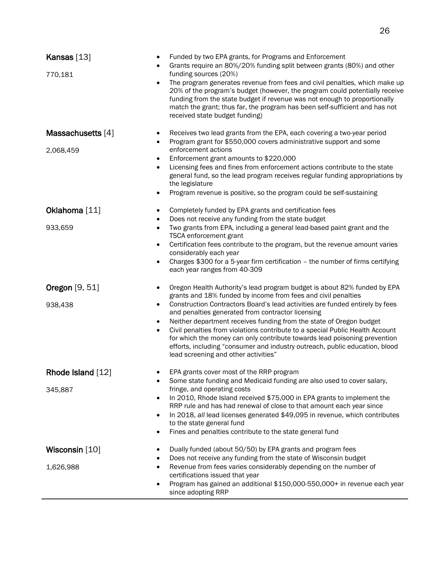| Kansas $[13]$<br>770,181       | Funded by two EPA grants, for Programs and Enforcement<br>Grants require an 80%/20% funding split between grants (80%) and other<br>funding sources (20%)<br>The program generates revenue from fees and civil penalties, which make up<br>20% of the program's budget (however, the program could potentially receive<br>funding from the state budget if revenue was not enough to proportionally<br>match the grant; thus far, the program has been self-sufficient and has not<br>received state budget funding)                                                                                                                                                 |
|--------------------------------|----------------------------------------------------------------------------------------------------------------------------------------------------------------------------------------------------------------------------------------------------------------------------------------------------------------------------------------------------------------------------------------------------------------------------------------------------------------------------------------------------------------------------------------------------------------------------------------------------------------------------------------------------------------------|
| Massachusetts [4]<br>2,068,459 | Receives two lead grants from the EPA, each covering a two-year period<br>$\bullet$<br>Program grant for \$550,000 covers administrative support and some<br>$\bullet$<br>enforcement actions<br>Enforcement grant amounts to \$220,000<br>$\bullet$<br>Licensing fees and fines from enforcement actions contribute to the state<br>$\bullet$<br>general fund, so the lead program receives regular funding appropriations by<br>the legislature<br>Program revenue is positive, so the program could be self-sustaining                                                                                                                                            |
| Oklahoma [11]<br>933,659       | Completely funded by EPA grants and certification fees<br>$\bullet$<br>Does not receive any funding from the state budget<br>$\bullet$<br>Two grants from EPA, including a general lead-based paint grant and the<br>$\bullet$<br>TSCA enforcement grant<br>Certification fees contribute to the program, but the revenue amount varies<br>$\bullet$<br>considerably each year<br>Charges \$300 for a 5-year firm certification - the number of firms certifying<br>$\bullet$<br>each year ranges from 40-309                                                                                                                                                        |
| Oregon [9, 51]<br>938,438      | Oregon Health Authority's lead program budget is about 82% funded by EPA<br>grants and 18% funded by income from fees and civil penalties<br>Construction Contractors Board's lead activities are funded entirely by fees<br>$\bullet$<br>and penalties generated from contractor licensing<br>Neither department receives funding from the state of Oregon budget<br>$\bullet$<br>Civil penalties from violations contribute to a special Public Health Account<br>for which the money can only contribute towards lead poisoning prevention<br>efforts, including "consumer and industry outreach, public education, blood<br>lead screening and other activities" |
| Rhode Island [12]<br>345,887   | EPA grants cover most of the RRP program<br>Some state funding and Medicaid funding are also used to cover salary,<br>fringe, and operating costs<br>In 2010, Rhode Island received \$75,000 in EPA grants to implement the<br>RRP rule and has had renewal of close to that amount each year since<br>In 2018, all lead licenses generated \$49,095 in revenue, which contributes<br>to the state general fund<br>Fines and penalties contribute to the state general fund                                                                                                                                                                                          |
| Wisconsin [10]<br>1,626,988    | Dually funded (about 50/50) by EPA grants and program fees<br>Does not receive any funding from the state of Wisconsin budget<br>Revenue from fees varies considerably depending on the number of<br>certifications issued that year<br>Program has gained an additional \$150,000-550,000+ in revenue each year<br>since adopting RRP                                                                                                                                                                                                                                                                                                                               |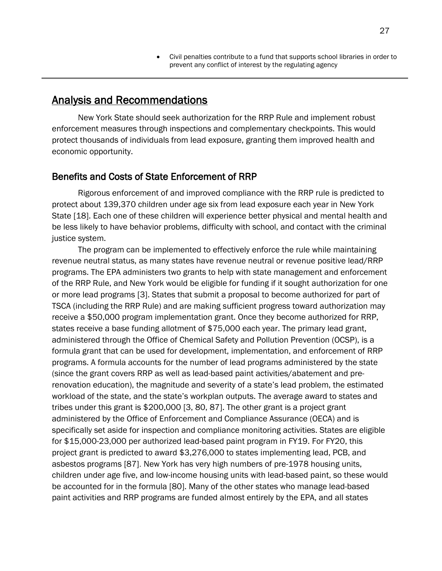• Civil penalties contribute to a fund that supports school libraries in order to prevent any conflict of interest by the regulating agency

## <span id="page-26-0"></span>Analysis and Recommendations

New York State should seek authorization for the RRP Rule and implement robust enforcement measures through inspections and complementary checkpoints. This would protect thousands of individuals from lead exposure, granting them improved health and economic opportunity.

#### <span id="page-26-1"></span>Benefits and Costs of State Enforcement of RRP

Rigorous enforcement of and improved compliance with the RRP rule is predicted to protect about 139,370 children under age six from lead exposure each year in New York State [18]. Each one of these children will experience better physical and mental health and be less likely to have behavior problems, difficulty with school, and contact with the criminal justice system.

The program can be implemented to effectively enforce the rule while maintaining revenue neutral status, as many states have revenue neutral or revenue positive lead/RRP programs. The EPA administers two grants to help with state management and enforcement of the RRP Rule, and New York would be eligible for funding if it sought authorization for one or more lead programs [3]. States that submit a proposal to become authorized for part of TSCA (including the RRP Rule) and are making sufficient progress toward authorization may receive a \$50,000 program implementation grant. Once they become authorized for RRP, states receive a base funding allotment of \$75,000 each year. The primary lead grant, administered through the Office of Chemical Safety and Pollution Prevention (OCSP), is a formula grant that can be used for development, implementation, and enforcement of RRP programs. A formula accounts for the number of lead programs administered by the state (since the grant covers RRP as well as lead-based paint activities/abatement and prerenovation education), the magnitude and severity of a state's lead problem, the estimated workload of the state, and the state's workplan outputs. The average award to states and tribes under this grant is \$200,000 [3, 80, 87]. The other grant is a project grant administered by the Office of Enforcement and Compliance Assurance (OECA) and is specifically set aside for inspection and compliance monitoring activities. States are eligible for \$15,000-23,000 per authorized lead-based paint program in FY19. For FY20, this project grant is predicted to award \$3,276,000 to states implementing lead, PCB, and asbestos programs [87]. New York has very high numbers of pre-1978 housing units, children under age five, and low-income housing units with lead-based paint, so these would be accounted for in the formula [80]. Many of the other states who manage lead-based paint activities and RRP programs are funded almost entirely by the EPA, and all states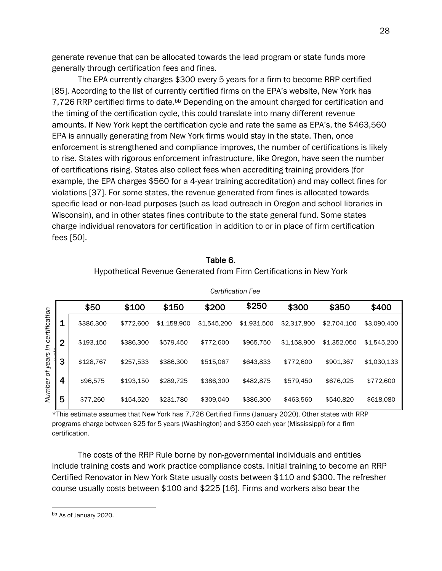generate revenue that can be allocated towards the lead program or state funds more generally through certification fees and fines.

The EPA currently charges \$300 every 5 years for a firm to become RRP certified [85]. According to the list of currently certified firms on the EPA's website, New York has 7,726 RRP certified firms to date.<sup>bb</sup> Depending on the amount charged for certification and the timing of the certification cycle, this could translate into many different revenue amounts. If New York kept the certification cycle and rate the same as EPA's, the \$463,560 EPA is annually generating from New York firms would stay in the state. Then, once enforcement is strengthened and compliance improves, the number of certifications is likely to rise. States with rigorous enforcement infrastructure, like Oregon, have seen the number of certifications rising. States also collect fees when accrediting training providers (for example, the EPA charges \$560 for a 4-year training accreditation) and may collect fines for violations [37]. For some states, the revenue generated from fines is allocated towards specific lead or non-lead purposes (such as lead outreach in Oregon and school libraries in Wisconsin), and in other states fines contribute to the state general fund. Some states charge individual renovators for certification in addition to or in place of firm certification fees [50].

|               |                | \$50      | \$100     | \$150       | \$200       | \$250       | \$300       | \$350       | \$400       |
|---------------|----------------|-----------|-----------|-------------|-------------|-------------|-------------|-------------|-------------|
| certification | $\mathbf 1$    | \$386,300 | \$772,600 | \$1,158,900 | \$1,545,200 | \$1,931,500 | \$2,317,800 | \$2,704,100 | \$3,090,400 |
| 3.            | $\overline{2}$ | \$193,150 | \$386,300 | \$579,450   | \$772,600   | \$965,750   | \$1,158,900 | \$1,352,050 | \$1,545,200 |
| years         | 3              | \$128,767 | \$257,533 | \$386,300   | \$515,067   | \$643,833   | \$772,600   | \$901,367   | \$1,030,133 |
| ð             | 4              | \$96,575  | \$193.150 | \$289.725   | \$386,300   | \$482,875   | \$579.450   | \$676,025   | \$772,600   |
| Number        | 5              | \$77,260  | \$154,520 | \$231,780   | \$309,040   | \$386,300   | \$463,560   | \$540,820   | \$618,080   |
|               |                |           |           |             |             |             |             |             |             |

Table 6.

*Certification Fee*

#### Hypothetical Revenue Generated from Firm Certifications in New York

\*This estimate assumes that New York has 7,726 Certified Firms (January 2020). Other states with RRP programs charge between \$25 for 5 years (Washington) and \$350 each year (Mississippi) for a firm certification.

The costs of the RRP Rule borne by non-governmental individuals and entities include training costs and work practice compliance costs. Initial training to become an RRP Certified Renovator in New York State usually costs between \$110 and \$300. The refresher course usually costs between \$100 and \$225 [16]. Firms and workers also bear the

bb As of January 2020.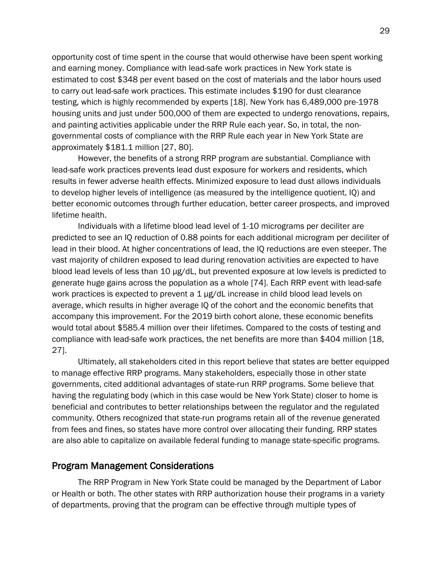opportunity cost of time spent in the course that would otherwise have been spent working and earning money. Compliance with lead-safe work practices in New York state is estimated to cost \$348 per event based on the cost of materials and the labor hours used to carry out lead-safe work practices. This estimate includes \$190 for dust clearance testing, which is highly recommended by experts [18]. New York has 6,489,000 pre-1978 housing units and just under 500,000 of them are expected to undergo renovations, repairs, and painting activities applicable under the RRP Rule each year. So, in total, the nongovernmental costs of compliance with the RRP Rule each year in New York State are approximately \$181.1 million [27, 80].

However, the benefits of a strong RRP program are substantial. Compliance with lead-safe work practices prevents lead dust exposure for workers and residents, which results in fewer adverse health effects. Minimized exposure to lead dust allows individuals to develop higher levels of intelligence (as measured by the intelligence quotient, IQ) and better economic outcomes through further education, better career prospects, and improved lifetime health.

Individuals with a lifetime blood lead level of 1-10 micrograms per deciliter are predicted to see an IQ reduction of 0.88 points for each additional microgram per deciliter of lead in their blood. At higher concentrations of lead, the IQ reductions are even steeper. The vast majority of children exposed to lead during renovation activities are expected to have blood lead levels of less than 10 µg/dL, but prevented exposure at low levels is predicted to generate huge gains across the population as a whole [74]. Each RRP event with lead-safe work practices is expected to prevent a 1 µg/dL increase in child blood lead levels on average, which results in higher average IQ of the cohort and the economic benefits that accompany this improvement. For the 2019 birth cohort alone, these economic benefits would total about \$585.4 million over their lifetimes. Compared to the costs of testing and compliance with lead-safe work practices, the net benefits are more than \$404 million [18, 27].

Ultimately, all stakeholders cited in this report believe that states are better equipped to manage effective RRP programs. Many stakeholders, especially those in other state governments, cited additional advantages of state-run RRP programs. Some believe that having the regulating body (which in this case would be New York State) closer to home is beneficial and contributes to better relationships between the regulator and the regulated community. Others recognized that state-run programs retain all of the revenue generated from fees and fines, so states have more control over allocating their funding. RRP states are also able to capitalize on available federal funding to manage state-specific programs.

#### <span id="page-28-0"></span>Program Management Considerations

The RRP Program in New York State could be managed by the Department of Labor or Health or both. The other states with RRP authorization house their programs in a variety of departments, proving that the program can be effective through multiple types of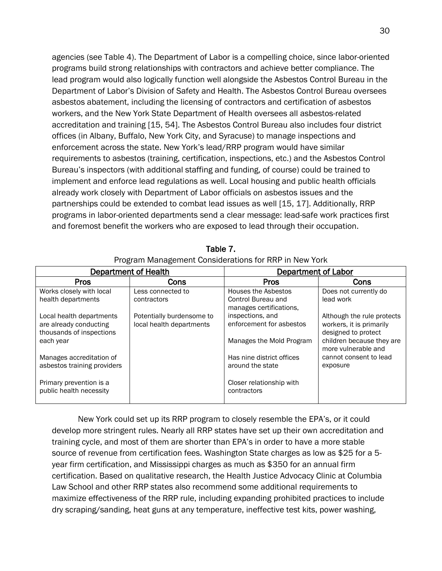agencies (see Table 4). The Department of Labor is a compelling choice, since labor-oriented programs build strong relationships with contractors and achieve better compliance. The lead program would also logically function well alongside the Asbestos Control Bureau in the Department of Labor's Division of Safety and Health. The Asbestos Control Bureau oversees asbestos abatement, including the licensing of contractors and certification of asbestos workers, and the New York State Department of Health oversees all asbestos-related accreditation and training [15, 54]. The Asbestos Control Bureau also includes four district offices (in Albany, Buffalo, New York City, and Syracuse) to manage inspections and enforcement across the state. New York's lead/RRP program would have similar requirements to asbestos (training, certification, inspections, etc.) and the Asbestos Control Bureau's inspectors (with additional staffing and funding, of course) could be trained to implement and enforce lead regulations as well. Local housing and public health officials already work closely with Department of Labor officials on asbestos issues and the partnerships could be extended to combat lead issues as well [15, 17]. Additionally, RRP programs in labor-oriented departments send a clear message: lead-safe work practices first and foremost benefit the workers who are exposed to lead through their occupation.

|                                                                                | <b>Department of Health</b>                           | <b>Department of Labor</b>                                           |                                                                               |  |  |  |
|--------------------------------------------------------------------------------|-------------------------------------------------------|----------------------------------------------------------------------|-------------------------------------------------------------------------------|--|--|--|
| <b>Pros</b>                                                                    | Cons                                                  | <b>Pros</b><br>Cons                                                  |                                                                               |  |  |  |
| Works closely with local<br>health departments                                 | Less connected to<br>contractors                      | Houses the Asbestos<br>Control Bureau and<br>manages certifications, | Does not currently do<br>lead work                                            |  |  |  |
| Local health departments<br>are already conducting<br>thousands of inspections | Potentially burdensome to<br>local health departments | inspections, and<br>enforcement for asbestos                         | Although the rule protects<br>workers, it is primarily<br>designed to protect |  |  |  |
| each year                                                                      |                                                       | Manages the Mold Program                                             | children because they are<br>more vulnerable and                              |  |  |  |
| Manages accreditation of<br>asbestos training providers                        |                                                       | Has nine district offices<br>around the state                        | cannot consent to lead<br>exposure                                            |  |  |  |
| Primary prevention is a<br>public health necessity                             |                                                       | Closer relationship with<br>contractors                              |                                                                               |  |  |  |

Table 7. Program Management Considerations for RRP in New York

New York could set up its RRP program to closely resemble the EPA's, or it could develop more stringent rules. Nearly all RRP states have set up their own accreditation and training cycle, and most of them are shorter than EPA's in order to have a more stable source of revenue from certification fees. Washington State charges as low as \$25 for a 5 year firm certification, and Mississippi charges as much as \$350 for an annual firm certification. Based on qualitative research, the Health Justice Advocacy Clinic at Columbia Law School and other RRP states also recommend some additional requirements to maximize effectiveness of the RRP rule, including expanding prohibited practices to include dry scraping/sanding, heat guns at any temperature, ineffective test kits, power washing,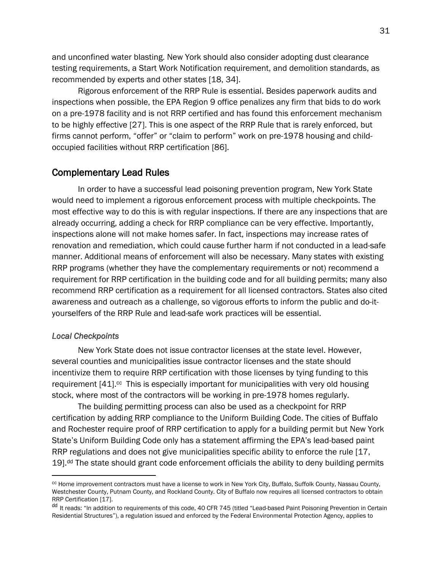and unconfined water blasting. New York should also consider adopting dust clearance testing requirements, a Start Work Notification requirement, and demolition standards, as recommended by experts and other states [18, 34].

Rigorous enforcement of the RRP Rule is essential. Besides paperwork audits and inspections when possible, the EPA Region 9 office penalizes any firm that bids to do work on a pre-1978 facility and is not RRP certified and has found this enforcement mechanism to be highly effective [27]. This is one aspect of the RRP Rule that is rarely enforced, but firms cannot perform, "offer" or "claim to perform" work on pre-1978 housing and childoccupied facilities without RRP certification [86].

#### <span id="page-30-0"></span>Complementary Lead Rules

In order to have a successful lead poisoning prevention program, New York State would need to implement a rigorous enforcement process with multiple checkpoints. The most effective way to do this is with regular inspections. If there are any inspections that are already occurring, adding a check for RRP compliance can be very effective. Importantly, inspections alone will not make homes safer. In fact, inspections may increase rates of renovation and remediation, which could cause further harm if not conducted in a lead-safe manner. Additional means of enforcement will also be necessary. Many states with existing RRP programs (whether they have the complementary requirements or not) recommend a requirement for RRP certification in the building code and for all building permits; many also recommend RRP certification as a requirement for all licensed contractors. States also cited awareness and outreach as a challenge, so vigorous efforts to inform the public and do-ityourselfers of the RRP Rule and lead-safe work practices will be essential.

#### <span id="page-30-1"></span>*Local Checkpoints*

New York State does not issue contractor licenses at the state level. However, several counties and municipalities issue contractor licenses and the state should incentivize them to require RRP certification with those licenses by tying funding to this requirement  $[41]$ .<sup>cc</sup> This is especially important for municipalities with very old housing stock, where most of the contractors will be working in pre-1978 homes regularly.

The building permitting process can also be used as a checkpoint for RRP certification by adding RRP compliance to the Uniform Building Code. The cities of Buffalo and Rochester require proof of RRP certification to apply for a building permit but New York State's Uniform Building Code only has a statement affirming the EPA's lead-based paint RRP regulations and does not give municipalities specific ability to enforce the rule [17, 19].<sup>dd</sup> The state should grant code enforcement officials the ability to deny building permits

cc Home improvement contractors must have a license to work in New York City, Buffalo, Suffolk County, Nassau County, Westchester County, Putnam County, and Rockland County. City of Buffalo now requires all licensed contractors to obtain RRP Certification [17].

dd It reads: "In addition to requirements of this code, 40 CFR 745 (titled "Lead-based Paint Poisoning Prevention in Certain Residential Structures"), a regulation issued and enforced by the Federal Environmental Protection Agency, applies to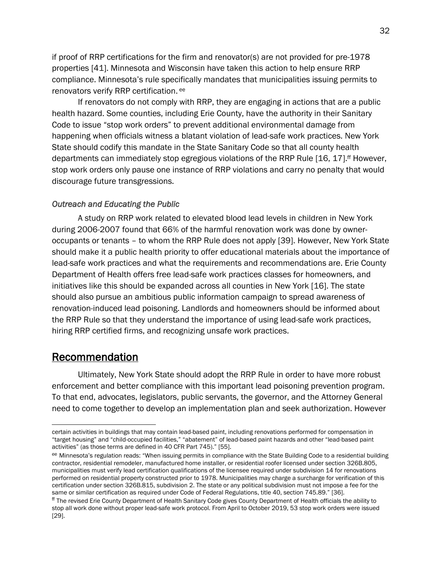if proof of RRP certifications for the firm and renovator(s) are not provided for pre-1978 properties [41]. Minnesota and Wisconsin have taken this action to help ensure RRP compliance. Minnesota's rule specifically mandates that municipalities issuing permits to renovators verify RRP certification.<sup>ee</sup>

If renovators do not comply with RRP, they are engaging in actions that are a public health hazard. Some counties, including Erie County, have the authority in their Sanitary Code to issue "stop work orders" to prevent additional environmental damage from happening when officials witness a blatant violation of lead-safe work practices. New York State should codify this mandate in the State Sanitary Code so that all county health departments can immediately stop egregious violations of the RRP Rule [16, 17]. ff However, stop work orders only pause one instance of RRP violations and carry no penalty that would discourage future transgressions.

#### <span id="page-31-0"></span>*Outreach and Educating the Public*

A study on RRP work related to elevated blood lead levels in children in New York during 2006-2007 found that 66% of the harmful renovation work was done by owneroccupants or tenants – to whom the RRP Rule does not apply [39]. However, New York State should make it a public health priority to offer educational materials about the importance of lead-safe work practices and what the requirements and recommendations are. Erie County Department of Health offers free lead-safe work practices classes for homeowners, and initiatives like this should be expanded across all counties in New York [16]. The state should also pursue an ambitious public information campaign to spread awareness of renovation-induced lead poisoning. Landlords and homeowners should be informed about the RRP Rule so that they understand the importance of using lead-safe work practices, hiring RRP certified firms, and recognizing unsafe work practices.

## <span id="page-31-1"></span>Recommendation

Ultimately, New York State should adopt the RRP Rule in order to have more robust enforcement and better compliance with this important lead poisoning prevention program. To that end, advocates, legislators, public servants, the governor, and the Attorney General need to come together to develop an implementation plan and seek authorization. However

certain activities in buildings that may contain lead-based paint, including renovations performed for compensation in "target housing" and "child-occupied facilities," "abatement" of lead-based paint hazards and other "lead-based paint activities" (as those terms are defined in 40 CFR Part 745)." [55].

ee Minnesota's regulation reads: "When issuing permits in compliance with the State Building Code to a residential building contractor, residential remodeler, manufactured home installer, or residential roofer licensed under section 326B.805, municipalities must verify lead certification qualifications of the licensee required under subdivision 14 for renovations performed on residential property constructed prior to 1978. Municipalities may charge a surcharge for verification of this certification under section 326B.815, subdivision 2. The state or any political subdivision must not impose a fee for the same or similar certification as required under Code of Federal Regulations, title 40, section 745.89." [36].

ff The revised Erie County Department of Health Sanitary Code gives County Department of Health officials the ability to stop all work done without proper lead-safe work protocol. From April to October 2019, 53 stop work orders were issued [29].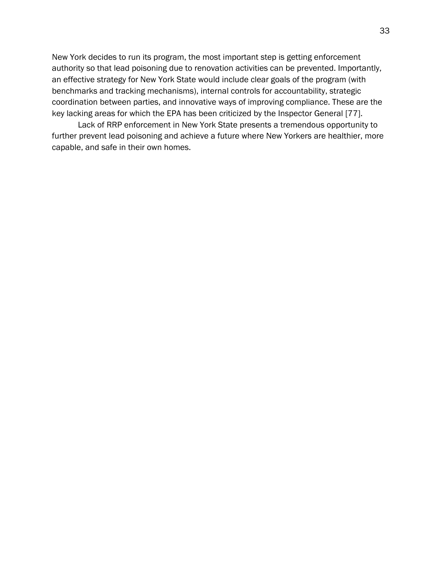New York decides to run its program, the most important step is getting enforcement authority so that lead poisoning due to renovation activities can be prevented. Importantly, an effective strategy for New York State would include clear goals of the program (with benchmarks and tracking mechanisms), internal controls for accountability, strategic coordination between parties, and innovative ways of improving compliance. These are the key lacking areas for which the EPA has been criticized by the Inspector General [77].

Lack of RRP enforcement in New York State presents a tremendous opportunity to further prevent lead poisoning and achieve a future where New Yorkers are healthier, more capable, and safe in their own homes.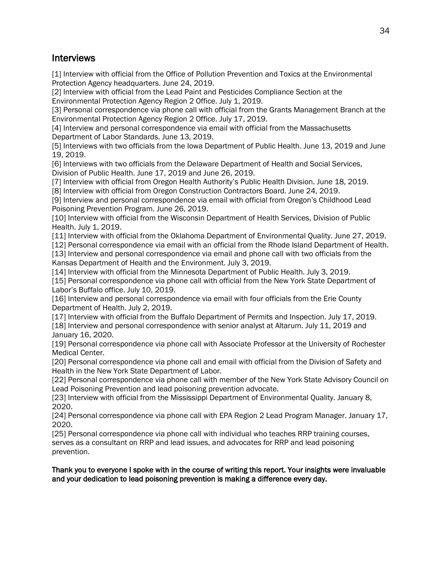## <span id="page-33-0"></span>**Interviews**

<span id="page-33-1"></span>[1] Interview with official from the Office of Pollution Prevention and Toxics at the Environmental Protection Agency headquarters. June 24, 2019.

[2] Interview with official from the Lead Paint and Pesticides Compliance Section at the Environmental Protection Agency Region 2 Office. July 1, 2019.

[3] Personal correspondence via phone call with official from the Grants Management Branch at the Environmental Protection Agency Region 2 Office. July 17, 2019.

[4] Interview and personal correspondence via email with official from the Massachusetts Department of Labor Standards. June 13, 2019.

[5] Interviews with two officials from the Iowa Department of Public Health. June 13, 2019 and June 19, 2019.

[6] Interviews with two officials from the Delaware Department of Health and Social Services, Division of Public Health. June 17, 2019 and June 26, 2019.

[7] Interview with official from Oregon Health Authority's Public Health Division. June 18, 2019.

[8] Interview with official from Oregon Construction Contractors Board. June 24, 2019.

[9] Interview and personal correspondence via email with official from Oregon's Childhood Lead Poisoning Prevention Program. June 26, 2019.

[10] Interview with official from the Wisconsin Department of Health Services, Division of Public Health. July 1, 2019.

[11] Interview with official from the Oklahoma Department of Environmental Quality. June 27, 2019.

[12] Personal correspondence via email with an official from the Rhode Island Department of Health. [13] Interview and personal correspondence via email and phone call with two officials from the

Kansas Department of Health and the Environment. July 3, 2019.

[14] Interview with official from the Minnesota Department of Public Health. July 3, 2019.

[15] Personal correspondence via phone call with official from the New York State Department of Labor's Buffalo office. July 10, 2019.

[16] Interview and personal correspondence via email with four officials from the Erie County Department of Health. July 2, 2019.

[17] Interview with official from the Buffalo Department of Permits and Inspection. July 17, 2019.

[18] Interview and personal correspondence with senior analyst at Altarum. July 11, 2019 and January 16, 2020.

[19] Personal correspondence via phone call with Associate Professor at the University of Rochester Medical Center.

[20] Personal correspondence via phone call and email with official from the Division of Safety and Health in the New York State Department of Labor.

[22] Personal correspondence via phone call with member of the New York State Advisory Council on Lead Poisoning Prevention and lead poisoning prevention advocate.

[23] Interview with official from the Mississippi Department of Environmental Quality. January 8, 2020.

[24] Personal correspondence via phone call with EPA Region 2 Lead Program Manager. January 17, 2020.

[25] Personal correspondence via phone call with individual who teaches RRP training courses, serves as a consultant on RRP and lead issues, and advocates for RRP and lead poisoning prevention.

Thank you to everyone I spoke with in the course of writing this report. Your insights were invaluable and your dedication to lead poisoning prevention is making a difference every day.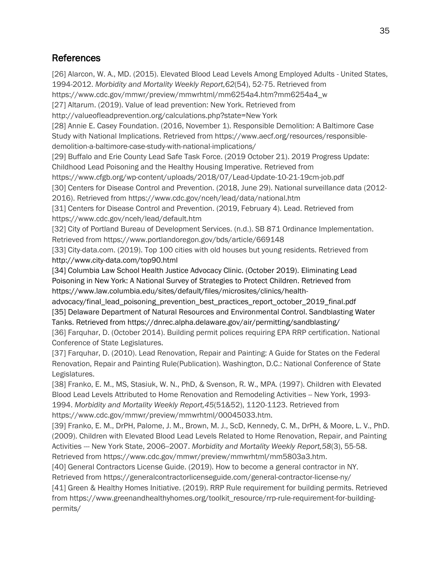## References

[26] Alarcon, W. A., MD. (2015). Elevated Blood Lead Levels Among Employed Adults - United States, 1994-2012. *Morbidity and Mortality Weekly Report,62*(54), 52-75. Retrieved from https://www.cdc.gov/mmwr/preview/mmwrhtml/mm6254a4.htm?mm6254a4\_w [27] Altarum. (2019). Value of lead prevention: New York. Retrieved from http://valueofleadprevention.org/calculations.php?state=New York [28] Annie E. Casey Foundation. (2016, November 1). Responsible Demolition: A Baltimore Case Study with National Implications. Retrieved from https://www.aecf.org/resources/responsibledemolition-a-baltimore-case-study-with-national-implications/ [29] Buffalo and Erie County Lead Safe Task Force. (2019 October 21). 2019 Progress Update: Childhood Lead Poisoning and the Healthy Housing Imperative. Retrieved from https://www.cfgb.org/wp-content/uploads/2018/07/Lead-Update-10-21-19cm-job.pdf [30] Centers for Disease Control and Prevention. (2018, June 29). National surveillance data (2012- 2016). Retrieved from https://www.cdc.gov/nceh/lead/data/national.htm [31] Centers for Disease Control and Prevention. (2019, February 4). Lead. Retrieved from https://www.cdc.gov/nceh/lead/default.htm [32] City of Portland Bureau of Development Services. (n.d.). SB 871 Ordinance Implementation. Retrieved from https://www.portlandoregon.gov/bds/article/669148 [33] City-data.com. (2019). Top 100 cities with old houses but young residents. Retrieved from http://www.city-data.com/top90.html [34] Columbia Law School Health Justice Advocacy Clinic. (October 2019). Eliminating Lead Poisoning in New York: A National Survey of Strategies to Protect Children. Retrieved from https://www.law.columbia.edu/sites/default/files/microsites/clinics/healthadvocacy/final\_lead\_poisoning\_prevention\_best\_practices\_report\_october\_2019\_final.pdf [35] Delaware Department of Natural Resources and Environmental Control. Sandblasting Water Tanks. Retrieved from https://dnrec.alpha.delaware.gov/air/permitting/sandblasting/ [36] Farquhar, D. (October 2014). Building permit polices requiring EPA RRP certification. National Conference of State Legislatures. [37] Farquhar, D. (2010). Lead Renovation, Repair and Painting: A Guide for States on the Federal Renovation, Repair and Painting Rule(Publication). Washington, D.C.: National Conference of State Legislatures. [38] Franko, E. M., MS, Stasiuk, W. N., PhD, & Svenson, R. W., MPA. (1997). Children with Elevated Blood Lead Levels Attributed to Home Renovation and Remodeling Activities -- New York, 1993-1994. *Morbidity and Mortality Weekly Report,45*(51&52), 1120-1123. Retrieved from https://www.cdc.gov/mmwr/preview/mmwrhtml/00045033.htm. [39] Franko, E. M., DrPH, Palome, J. M., Brown, M. J., ScD, Kennedy, C. M., DrPH, & Moore, L. V., PhD. (2009). Children with Elevated Blood Lead Levels Related to Home Renovation, Repair, and Painting Activities --- New York State, 2006--2007. *Morbidity and Mortality Weekly Report,58*(3), 55-58. Retrieved from https://www.cdc.gov/mmwr/preview/mmwrhtml/mm5803a3.htm. [40] General Contractors License Guide. (2019). How to become a general contractor in NY. Retrieved from https://generalcontractorlicenseguide.com/general-contractor-license-ny/ [41] Green & Healthy Homes Initiative. (2019). RRP Rule requirement for building permits. Retrieved

from https://www.greenandhealthyhomes.org/toolkit\_resource/rrp-rule-requirement-for-buildingpermits/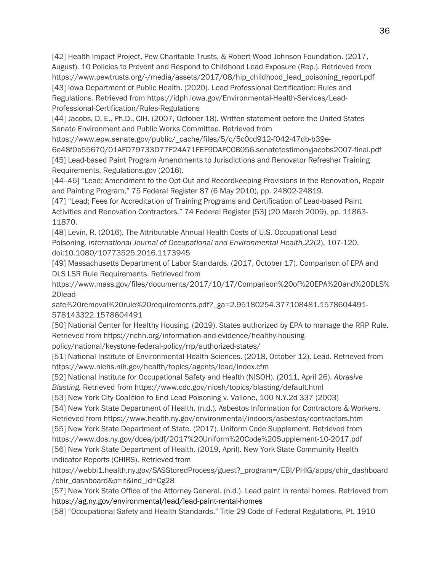[42] Health Impact Project, Pew Charitable Trusts, & Robert Wood Johnson Foundation. (2017, August). 10 Policies to Prevent and Respond to Childhood Lead Exposure (Rep.). Retrieved from https://www.pewtrusts.org/-/media/assets/2017/08/hip\_childhood\_lead\_poisoning\_report.pdf [43] Iowa Department of Public Health. (2020). Lead Professional Certification: Rules and Regulations*.* Retrieved from https://idph.iowa.gov/Environmental-Health-Services/Lead-Professional-Certification/Rules-Regulations

[44] Jacobs, D. E., Ph.D., CIH. (2007, October 18). Written statement before the United States Senate Environment and Public Works Committee. Retrieved from

https://www.epw.senate.gov/public/\_cache/files/5/c/5c0cd912-f042-47db-b39e-

6e48f0b55670/01AFD79733D77F24A71FEF9DAFCCB056.senatetestimonyjacobs2007-final.pdf [45] Lead-based Paint Program Amendments to Jurisdictions and Renovator Refresher Training Requirements, Regulations.gov (2016).

[44--46] "Lead; Amendment to the Opt-Out and Recordkeeping Provisions in the Renovation, Repair and Painting Program," 75 Federal Register 87 (6 May 2010), pp. 24802-24819.

[47] "Lead; Fees for Accreditation of Training Programs and Certification of Lead-based Paint Activities and Renovation Contractors," 74 Federal Register [53] (20 March 2009), pp. 11863- 11870.

[48] Levin, R. (2016). The Attributable Annual Health Costs of U.S. Occupational Lead Poisoning. *International Journal of Occupational and Environmental Health,22*(2), 107-120. doi:10.1080/10773525.2016.1173945

[49] Massachusetts Department of Labor Standards. (2017, October 17). Comparison of EPA and DLS LSR Rule Requirements. Retrieved from

https://www.mass.gov/files/documents/2017/10/17/Comparison%20of%20EPA%20and%20DLS% 20lead-

safe%20removal%20rule%20requirements.pdf?\_ga=2.95180254.377108481.1578604491- 578143322.1578604491

[50] National Center for Healthy Housing. (2019). States authorized by EPA to manage the RRP Rule. Retrieved from https://nchh.org/information-and-evidence/healthy-housing-

policy/national/keystone-federal-policy/rrp/authorized-states/

[51] National Institute of Environmental Health Sciences. (2018, October 12). Lead. Retrieved from https://www.niehs.nih.gov/health/topics/agents/lead/index.cfm

[52] National Institute for Occupational Safety and Health (NISOH). (2011, April 26). *Abrasive Blasting.* Retrieved from https://www.cdc.gov/niosh/topics/blasting/default.html

[53] New York City Coalition to End Lead Poisoning v. Vallone, 100 N.Y.2d 337 (2003)

[54] New York State Department of Health. (n.d.). Asbestos Information for Contractors & Workers.

Retrieved from https://www.health.ny.gov/environmental/indoors/asbestos/contractors.htm [55] New York State Department of State. (2017). Uniform Code Supplement. Retrieved from

https://www.dos.ny.gov/dcea/pdf/2017%20Uniform%20Code%20Supplement-10-2017.pdf [56] New York State Department of Health. (2019, April). New York State Community Health Indicator Reports (CHIRS). Retrieved from

https://webbi1.health.ny.gov/SASStoredProcess/guest?\_program=/EBI/PHIG/apps/chir\_dashboard /chir\_dashboard&p=it&ind\_id=Cg28

[57] New York State Office of the Attorney General. (n.d.). Lead paint in rental homes. Retrieved from https://ag.ny.gov/environmental/lead/lead-paint-rental-homes

[58] "Occupational Safety and Health Standards," Title 29 Code of Federal Regulations, Pt. 1910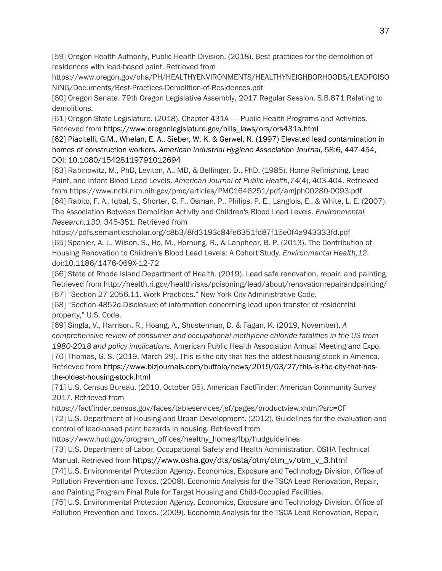[59] Oregon Health Authority, Public Health Division. (2018). Best practices for the demolition of residences with lead-based paint. Retrieved from

https://www.oregon.gov/oha/PH/HEALTHYENVIRONMENTS/HEALTHYNEIGHBORHOODS/LEADPOISO NING/Documents/Best-Practices-Demolition-of-Residences.pdf

[60] Oregon Senate. 79th Oregon Legislative Assembly, 2017 Regular Session. S.B.871 Relating to demolitions.

[61] Oregon State Legislature. (2018). Chapter 431A ---- Public Health Programs and Activities. Retrieved from https://www.oregonlegislature.gov/bills\_laws/ors/ors431a.html

[62] Piacitelli, G.M., Whelan, E. A., Sieber, W. K. & Gerwel, N. (1997) Elevated lead contamination in homes of construction workers. *American Industrial Hygiene Association Journal*, 58:6, 447-454, DOI: 10.1080/15428119791012694

[63] Rabinowitz, M., PhD, Leviton, A., MD, & Bellinger, D., PhD. (1985). Home Refinishing, Lead Paint, and Infant Blood Lead Levels. *American Journal of Public Health,74*(4), 403-404. Retrieved from https://www.ncbi.nlm.nih.gov/pmc/articles/PMC1646251/pdf/amjph00280-0093.pdf [64] Rabito, F. A., Iqbal, S., Shorter, C. F., Osman, P., Philips, P. E., Langlois, E., & White, L. E. (2007). The Association Between Demolition Activity and Children's Blood Lead Levels. *Environmental Research,130*, 345-351. Retrieved from

https://pdfs.semanticscholar.org/c8b3/8fd3193c84fe6351fd87f15e0f4a943333fd.pdf [65] Spanier, A. J., Wilson, S., Ho, M., Hornung, R., & Lanphear, B. P. (2013). The Contribution of Housing Renovation to Children's Blood Lead Levels: A Cohort Study. *Environmental Health,12*. doi:10.1186/1476-069X-12-72

[66] State of Rhode Island Department of Health. (2019). Lead safe renovation, repair, and painting. Retrieved from http://health.ri.gov/healthrisks/poisoning/lead/about/renovationrepairandpainting/ [67] "Section 27-2056.11. Work Practices," New York City Administrative Code.

[68] "Section 4852d.Disclosure of information concerning lead upon transfer of residential property," U.S. Code.

[69] Singla, V., Harrison, R., Hoang, A., Shusterman, D. & Fagan, K. (2019, November). *A comprehensive review of consumer and occupational methylene chloride fatalities in the US from 1980-2018 and policy implications.* American Public Health Association Annual Meeting and Expo. [70] Thomas, G. S. (2019, March 29). This is the city that has the oldest housing stock in America. Retrieved from https://www.bizjournals.com/buffalo/news/2019/03/27/this-is-the-city-that-hasthe-oldest-housing-stock.html

[71] U.S. Census Bureau. (2010, October 05). American FactFinder: American Community Survey 2017. Retrieved from

https://factfinder.census.gov/faces/tableservices/jsf/pages/productview.xhtml?src=CF

[72] U.S. Department of Housing and Urban Development. (2012). Guidelines for the evaluation and control of lead-based paint hazards in housing. Retrieved from

https://www.hud.gov/program\_offices/healthy\_homes/lbp/hudguidelines

[73] U.S. Department of Labor, Occupational Safety and Health Administration. OSHA Technical

Manual. Retrieved from https://www.osha.gov/dts/osta/otm/otm\_v/otm\_v\_3.html

[74] U.S. Environmental Protection Agency, Economics, Exposure and Technology Division, Office of Pollution Prevention and Toxics. (2008). Economic Analysis for the TSCA Lead Renovation, Repair, and Painting Program Final Rule for Target Housing and Child-Occupied Facilities.

[75] U.S. Environmental Protection Agency, Economics, Exposure and Technology Division, Office of Pollution Prevention and Toxics. (2009). Economic Analysis for the TSCA Lead Renovation, Repair,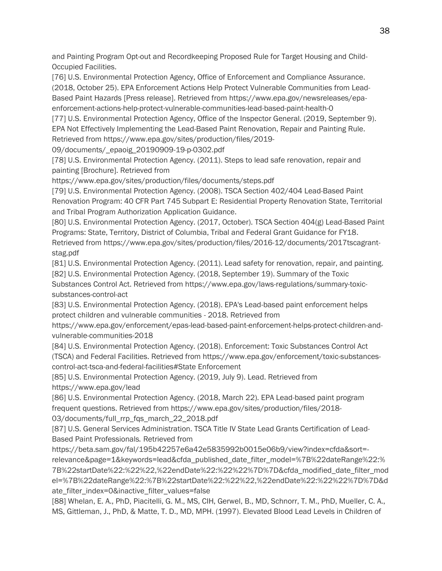and Painting Program Opt-out and Recordkeeping Proposed Rule for Target Housing and Child-Occupied Facilities.

[76] U.S. Environmental Protection Agency, Office of Enforcement and Compliance Assurance. (2018, October 25). EPA Enforcement Actions Help Protect Vulnerable Communities from Lead-Based Paint Hazards [Press release]. Retrieved from https://www.epa.gov/newsreleases/epaenforcement-actions-help-protect-vulnerable-communities-lead-based-paint-health-0

[77] U.S. Environmental Protection Agency, Office of the Inspector General. (2019, September 9). EPA Not Effectively Implementing the Lead-Based Paint Renovation, Repair and Painting Rule. Retrieved from https://www.epa.gov/sites/production/files/2019-

09/documents/\_epaoig\_20190909-19-p-0302.pdf

[78] U.S. Environmental Protection Agency. (2011). Steps to lead safe renovation, repair and painting [Brochure]. Retrieved from

https://www.epa.gov/sites/production/files/documents/steps.pdf

[79] U.S. Environmental Protection Agency. (2008). TSCA Section 402/404 Lead-Based Paint Renovation Program: 40 CFR Part 745 Subpart E: Residential Property Renovation State, Territorial and Tribal Program Authorization Application Guidance.

[80] U.S. Environmental Protection Agency. (2017, October). TSCA Section 404(g) Lead-Based Paint Programs: State, Territory, District of Columbia, Tribal and Federal Grant Guidance for FY18.

Retrieved from https://www.epa.gov/sites/production/files/2016-12/documents/2017tscagrantstag.pdf

[81] U.S. Environmental Protection Agency. (2011). Lead safety for renovation, repair, and painting. [82] U.S. Environmental Protection Agency. (2018, September 19). Summary of the Toxic

Substances Control Act. Retrieved from https://www.epa.gov/laws-regulations/summary-toxicsubstances-control-act

[83] U.S. Environmental Protection Agency. (2018). EPA's Lead-based paint enforcement helps protect children and vulnerable communities - 2018. Retrieved from

https://www.epa.gov/enforcement/epas-lead-based-paint-enforcement-helps-protect-children-andvulnerable-communities-2018

[84] U.S. Environmental Protection Agency. (2018). Enforcement: Toxic Substances Control Act (TSCA) and Federal Facilities. Retrieved from https://www.epa.gov/enforcement/toxic-substancescontrol-act-tsca-and-federal-facilities#State Enforcement

[85] U.S. Environmental Protection Agency. (2019, July 9). Lead. Retrieved from https://www.epa.gov/lead

[86] U.S. Environmental Protection Agency. (2018, March 22). EPA Lead-based paint program frequent questions. Retrieved from https://www.epa.gov/sites/production/files/2018- 03/documents/full\_rrp\_fqs\_march\_22\_2018.pdf

[87] U.S. General Services Administration. TSCA Title IV State Lead Grants Certification of Lead-Based Paint Professionals*.* Retrieved from

https://beta.sam.gov/fal/195b42257e6a42e5835992b0015e06b9/view?index=cfda&sort= relevance&page=1&keywords=lead&cfda\_published\_date\_filter\_model=%7B%22dateRange%22:% 7B%22startDate%22:%22%22,%22endDate%22:%22%22%7D%7D&cfda\_modified\_date\_filter\_mod el=%7B%22dateRange%22:%7B%22startDate%22:%22%22,%22endDate%22:%22%22%7D%7D&d ate\_filter\_index=0&inactive\_filter\_values=false

[88] Whelan, E. A., PhD, Piacitelli, G. M., MS, CIH, Gerwel, B., MD, Schnorr, T. M., PhD, Mueller, C. A., MS, Gittleman, J., PhD, & Matte, T. D., MD, MPH. (1997). Elevated Blood Lead Levels in Children of